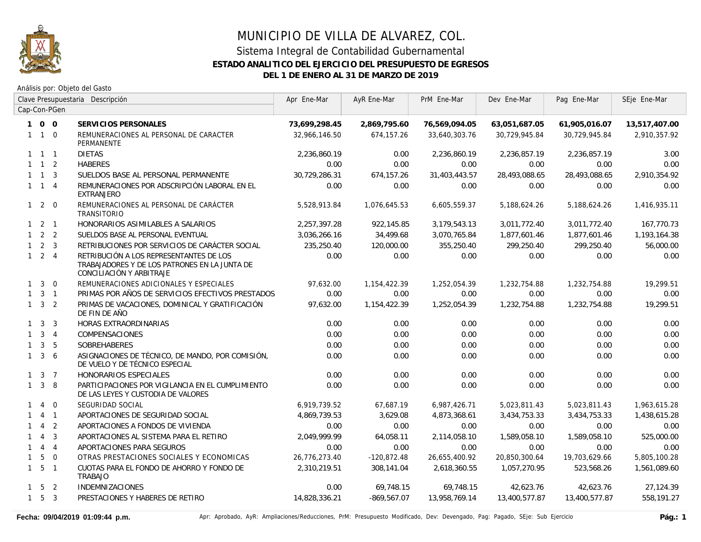

Análisis por: Objeto del Gasto

|              |                     |                | Clave Presupuestaria Descripción                                                                                     | Apr Ene-Mar   | AyR Ene-Mar   | PrM Ene-Mar   | Dev Ene-Mar   | Pag Ene-Mar   | SEje Ene-Mar  |
|--------------|---------------------|----------------|----------------------------------------------------------------------------------------------------------------------|---------------|---------------|---------------|---------------|---------------|---------------|
|              |                     | Cap-Con-PGen   |                                                                                                                      |               |               |               |               |               |               |
|              | 100                 |                | SERVICIOS PERSONALES                                                                                                 | 73,699,298.45 | 2,869,795.60  | 76,569,094.05 | 63,051,687.05 | 61,905,016.07 | 13,517,407.00 |
|              | $1 1 0$             |                | REMUNERACIONES AL PERSONAL DE CARACTER<br>PERMANENTE                                                                 | 32,966,146.50 | 674,157.26    | 33,640,303.76 | 30,729,945.84 | 30,729,945.84 | 2,910,357.92  |
|              | $1 \quad 1 \quad 1$ |                | <b>DIETAS</b>                                                                                                        | 2,236,860.19  | 0.00          | 2,236,860.19  | 2,236,857.19  | 2,236,857.19  | 3.00          |
|              | $1 \quad 1 \quad 2$ |                | <b>HABERES</b>                                                                                                       | 0.00          | 0.00          | 0.00          | 0.00          | 0.00          | 0.00          |
|              | $1 \quad 1 \quad 3$ |                | SUELDOS BASE AL PERSONAL PERMANENTE                                                                                  | 30.729.286.31 | 674,157.26    | 31,403,443.57 | 28,493,088.65 | 28,493,088.65 | 2,910,354.92  |
|              | $1 \quad 1 \quad 4$ |                | REMUNERACIONES POR ADSCRIPCIÓN LABORAL EN EL<br><b>EXTRANJERO</b>                                                    | 0.00          | 0.00          | 0.00          | 0.00          | 0.00          | 0.00          |
|              | $1\quad2\quad0$     |                | REMUNERACIONES AL PERSONAL DE CARÁCTER<br><b>TRANSITORIO</b>                                                         | 5,528,913.84  | 1,076,645.53  | 6,605,559.37  | 5,188,624.26  | 5,188,624.26  | 1,416,935.11  |
|              | $1 \quad 2 \quad 1$ |                | HONORARIOS ASIMILABLES A SALARIOS                                                                                    | 2,257,397.28  | 922,145.85    | 3,179,543.13  | 3,011,772.40  | 3,011,772.40  | 167,770.73    |
|              | $1 \quad 2 \quad 2$ |                | SUELDOS BASE AL PERSONAL EVENTUAL                                                                                    | 3,036,266.16  | 34,499.68     | 3,070,765.84  | 1,877,601.46  | 1,877,601.46  | 1,193,164.38  |
|              | $1 \quad 2 \quad 3$ |                | RETRIBUCIONES POR SERVICIOS DE CARÁCTER SOCIAL                                                                       | 235,250.40    | 120,000.00    | 355,250.40    | 299,250.40    | 299,250.40    | 56,000.00     |
|              | $1 \quad 2 \quad 4$ |                | RETRIBUCIÓN A LOS REPRESENTANTES DE LOS<br>TRABAJADORES Y DE LOS PATRONES EN LA JUNTA DE<br>CONCILIACIÓN Y ARBITRAJE | 0.00          | 0.00          | 0.00          | 0.00          | 0.00          | 0.00          |
| $\mathbf{1}$ | $\overline{3}$      | $\overline{0}$ | REMUNERACIONES ADICIONALES Y ESPECIALES                                                                              | 97,632.00     | 1,154,422.39  | 1,252,054.39  | 1,232,754.88  | 1,232,754.88  | 19,299.51     |
| $\mathbf{1}$ |                     | $3 \quad 1$    | PRIMAS POR AÑOS DE SERVICIOS EFECTIVOS PRESTADOS                                                                     | 0.00          | 0.00          | 0.00          | 0.00          | 0.00          | 0.00          |
|              | $1 \quad 3 \quad 2$ |                | PRIMAS DE VACACIONES, DOMINICAL Y GRATIFICACIÓN<br>DE FIN DE AÑO                                                     | 97,632.00     | 1,154,422.39  | 1,252,054.39  | 1,232,754.88  | 1,232,754.88  | 19,299.51     |
|              | $1 \quad 3$         | $\overline{3}$ | HORAS EXTRAORDINARIAS                                                                                                | 0.00          | 0.00          | 0.00          | 0.00          | 0.00          | 0.00          |
|              | $1 \quad 3 \quad 4$ |                | COMPENSACIONES                                                                                                       | 0.00          | 0.00          | 0.00          | 0.00          | 0.00          | 0.00          |
| $\mathbf{1}$ | $\mathbf{3}$        | - 5            | SOBREHABERES                                                                                                         | 0.00          | 0.00          | 0.00          | 0.00          | 0.00          | 0.00          |
| $\mathbf{1}$ | $\mathbf{3}$        | 6              | ASIGNACIONES DE TÉCNICO, DE MANDO, POR COMISIÓN,<br>DE VUELO Y DE TÉCNICO ESPECIAL                                   | 0.00          | 0.00          | 0.00          | 0.00          | 0.00          | 0.00          |
|              | $1 \quad 3 \quad 7$ |                | HONORARIOS ESPECIALES                                                                                                | 0.00          | 0.00          | 0.00          | 0.00          | 0.00          | 0.00          |
|              | $1 \quad 3$         | 8              | PARTICIPACIONES POR VIGILANCIA EN EL CUMPLIMIENTO<br>DE LAS LEYES Y CUSTODIA DE VALORES                              | 0.00          | 0.00          | 0.00          | 0.00          | 0.00          | 0.00          |
| $\mathbf{1}$ | $\overline{4}$      | $\Omega$       | SEGURIDAD SOCIAL                                                                                                     | 6,919,739.52  | 67,687.19     | 6,987,426.71  | 5,023,811.43  | 5,023,811.43  | 1,963,615.28  |
| 1            |                     | $4 \quad 1$    | APORTACIONES DE SEGURIDAD SOCIAL                                                                                     | 4.869.739.53  | 3,629.08      | 4,873,368.61  | 3,434,753.33  | 3,434,753.33  | 1,438,615.28  |
|              | $\overline{4}$      | 2              | APORTACIONES A FONDOS DE VIVIENDA                                                                                    | 0.00          | 0.00          | 0.00          | 0.00          | 0.00          | 0.00          |
| $\mathbf{1}$ | $\overline{4}$      | $\overline{3}$ | APORTACIONES AL SISTEMA PARA EL RETIRO                                                                               | 2,049,999.99  | 64,058.11     | 2,114,058.10  | 1,589,058.10  | 1,589,058.10  | 525,000.00    |
| $\mathbf{1}$ |                     | $4 \quad 4$    | APORTACIONES PARA SEGUROS                                                                                            | 0.00          | 0.00          | 0.00          | 0.00          | 0.00          | 0.00          |
| $\mathbf{1}$ | 5                   | $\overline{0}$ | OTRAS PRESTACIONES SOCIALES Y ECONOMICAS                                                                             | 26,776,273.40 | $-120,872.48$ | 26,655,400.92 | 20,850,300.64 | 19,703,629.66 | 5,805,100.28  |
|              | $1\quad 5\quad 1$   |                | CUOTAS PARA EL FONDO DE AHORRO Y FONDO DE<br><b>TRABAJO</b>                                                          | 2,310,219.51  | 308,141.04    | 2,618,360.55  | 1,057,270.95  | 523,568.26    | 1,561,089.60  |
|              | $1 \quad 5 \quad 2$ |                | <b>INDEMNIZACIONES</b>                                                                                               | 0.00          | 69,748.15     | 69,748.15     | 42,623.76     | 42,623.76     | 27,124.39     |
|              | $1\quad 5\quad 3$   |                | PRESTACIONES Y HABERES DE RETIRO                                                                                     | 14,828,336.21 | $-869,567.07$ | 13,958,769.14 | 13,400,577.87 | 13,400,577.87 | 558,191.27    |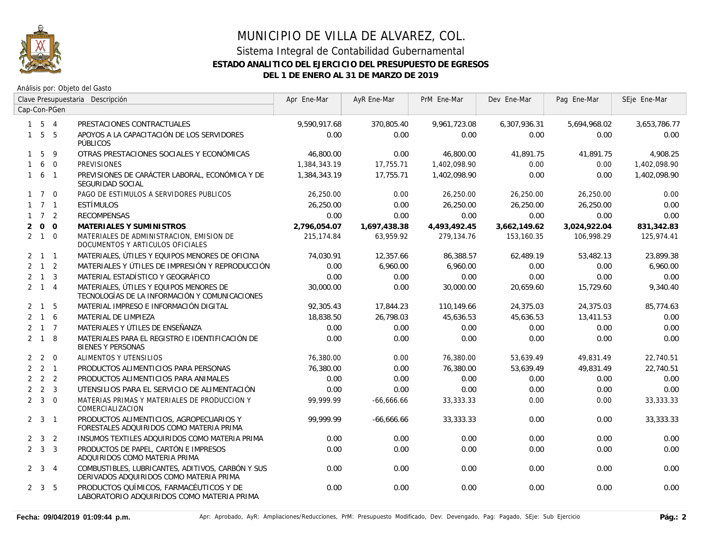

|                |                     |                | Clave Presupuestaria Descripción                                                             | Apr Ene-Mar  | AyR Ene-Mar  | PrM Ene-Mar  | Dev Ene-Mar  | Pag Ene-Mar  | SEje Ene-Mar |
|----------------|---------------------|----------------|----------------------------------------------------------------------------------------------|--------------|--------------|--------------|--------------|--------------|--------------|
|                |                     | Cap-Con-PGen   |                                                                                              |              |              |              |              |              |              |
|                | $1 \quad 5 \quad 4$ |                | PRESTACIONES CONTRACTUALES                                                                   | 9,590,917.68 | 370,805.40   | 9,961,723.08 | 6,307,936.31 | 5,694,968.02 | 3,653,786.77 |
|                | $1\quad5\quad5$     |                | APOYOS A LA CAPACITACIÓN DE LOS SERVIDORES<br>PÚBLICOS                                       | 0.00         | 0.00         | 0.00         | 0.00         | 0.00         | 0.00         |
| $\mathbf{1}$   | 5                   | 9              | OTRAS PRESTACIONES SOCIALES Y ECONÓMICAS                                                     | 46,800.00    | 0.00         | 46,800.00    | 41,891.75    | 41,891.75    | 4,908.25     |
| $\mathbf{1}$   |                     | 6 0            | <b>PREVISIONES</b>                                                                           | 1,384,343.19 | 17,755.71    | 1,402,098.90 | 0.00         | 0.00         | 1,402,098.90 |
|                | $1\quad 6\quad 1$   |                | PREVISIONES DE CARÁCTER LABORAL, ECONÓMICA Y DE<br>SEGURIDAD SOCIAL                          | 1,384,343.19 | 17.755.71    | 1,402,098.90 | 0.00         | 0.00         | 1,402,098.90 |
|                | $1 \quad 7 \quad 0$ |                | PAGO DE ESTIMULOS A SERVIDORES PUBLICOS                                                      | 26,250.00    | 0.00         | 26,250.00    | 26,250.00    | 26,250.00    | 0.00         |
|                | $1 \quad 7 \quad 1$ |                | ESTÍMULOS                                                                                    | 26.250.00    | 0.00         | 26,250.00    | 26,250.00    | 26,250.00    | 0.00         |
|                | $1 \quad 7 \quad 2$ |                | <b>RECOMPENSAS</b>                                                                           | 0.00         | 0.00         | 0.00         | 0.00         | 0.00         | 0.00         |
| $\overline{2}$ | $\mathsf{O}$        | $\overline{0}$ | MATERIALES Y SUMINISTROS                                                                     | 2,796,054.07 | 1,697,438.38 | 4,493,492.45 | 3,662,149.62 | 3,024,922.04 | 831,342.83   |
|                | $2 \quad 1 \quad 0$ |                | MATERIALES DE ADMINISTRACION, EMISION DE<br>DOCUMENTOS Y ARTICULOS OFICIALES                 | 215,174.84   | 63.959.92    | 279,134.76   | 153,160.35   | 106.998.29   | 125,974.41   |
|                | $2 \quad 1 \quad 1$ |                | MATERIALES, ÚTILES Y EQUIPOS MENORES DE OFICINA                                              | 74,030.91    | 12,357.66    | 86,388.57    | 62,489.19    | 53,482.13    | 23,899.38    |
|                | $2 \quad 1 \quad 2$ |                | MATERIALES Y ÚTILES DE IMPRESIÓN Y REPRODUCCIÓN                                              | 0.00         | 6,960.00     | 6,960.00     | 0.00         | 0.00         | 6,960.00     |
|                | $2 \quad 1 \quad 3$ |                | MATERIAL ESTADÍSTICO Y GEOGRÁFICO                                                            | 0.00         | 0.00         | 0.00         | 0.00         | 0.00         | 0.00         |
|                | $2 \quad 1 \quad 4$ |                | MATERIALES, ÚTILES Y EQUIPOS MENORES DE<br>TECNOLOGÍAS DE LA INFORMACIÓN Y COMUNICACIONES    | 30,000.00    | 0.00         | 30,000.00    | 20,659.60    | 15,729.60    | 9,340.40     |
|                | $2 \quad 1 \quad 5$ |                | MATERIAL IMPRESO E INFORMACIÓN DIGITAL                                                       | 92,305.43    | 17,844.23    | 110,149.66   | 24,375.03    | 24,375.03    | 85,774.63    |
|                | $2 \quad 1 \quad 6$ |                | MATERIAL DE LIMPIEZA                                                                         | 18,838.50    | 26,798.03    | 45,636.53    | 45,636.53    | 13,411.53    | 0.00         |
|                | $2 \quad 1 \quad 7$ |                | MATERIALES Y ÚTILES DE ENSEÑANZA                                                             | 0.00         | 0.00         | 0.00         | 0.00         | 0.00         | 0.00         |
|                | $2 \quad 1 \quad 8$ |                | MATERIALES PARA EL REGISTRO E IDENTIFICACIÓN DE<br><b>BIENES Y PERSONAS</b>                  | 0.00         | 0.00         | 0.00         | 0.00         | 0.00         | 0.00         |
|                | $2 \quad 2 \quad 0$ |                | ALIMENTOS Y UTENSILIOS                                                                       | 76,380.00    | 0.00         | 76,380.00    | 53,639.49    | 49,831.49    | 22,740.51    |
|                | $2 \quad 2 \quad 1$ |                | PRODUCTOS ALIMENTICIOS PARA PERSONAS                                                         | 76,380.00    | 0.00         | 76,380.00    | 53,639.49    | 49,831.49    | 22,740.51    |
|                | $2 \quad 2 \quad 2$ |                | PRODUCTOS ALIMENTICIOS PARA ANIMALES                                                         | 0.00         | 0.00         | 0.00         | 0.00         | 0.00         | 0.00         |
|                | $2 \quad 2 \quad 3$ |                | UTENSILIOS PARA EL SERVICIO DE ALIMENTACIÓN                                                  | 0.00         | 0.00         | 0.00         | 0.00         | 0.00         | 0.00         |
|                | $2 \quad 3 \quad 0$ |                | MATERIAS PRIMAS Y MATERIALES DE PRODUCCION Y<br>COMERCIALIZACION                             | 99,999.99    | $-66,666.66$ | 33, 333. 33  | 0.00         | 0.00         | 33, 333. 33  |
|                | $2 \quad 3 \quad 1$ |                | PRODUCTOS ALIMENTICIOS, AGROPECUARIOS Y<br>FORESTALES ADQUIRIDOS COMO MATERIA PRIMA          | 99.999.99    | $-66,666.66$ | 33,333.33    | 0.00         | 0.00         | 33, 333. 33  |
|                | $2 \quad 3 \quad 2$ |                | INSUMOS TEXTILES ADQUIRIDOS COMO MATERIA PRIMA                                               | 0.00         | 0.00         | 0.00         | 0.00         | 0.00         | 0.00         |
|                | $2 \quad 3 \quad 3$ |                | PRODUCTOS DE PAPEL, CARTÓN E IMPRESOS<br>ADQUIRIDOS COMO MATERIA PRIMA                       | 0.00         | 0.00         | 0.00         | 0.00         | 0.00         | 0.00         |
|                | $2 \quad 3 \quad 4$ |                | COMBUSTIBLES, LUBRICANTES, ADITIVOS, CARBÓN Y SUS<br>DERIVADOS ADQUIRIDOS COMO MATERIA PRIMA | 0.00         | 0.00         | 0.00         | 0.00         | 0.00         | 0.00         |
|                | $2 \quad 3 \quad 5$ |                | PRODUCTOS QUÍMICOS, FARMACÉUTICOS Y DE<br>LABORATORIO ADQUIRIDOS COMO MATERIA PRIMA          | 0.00         | 0.00         | 0.00         | 0.00         | 0.00         | 0.00         |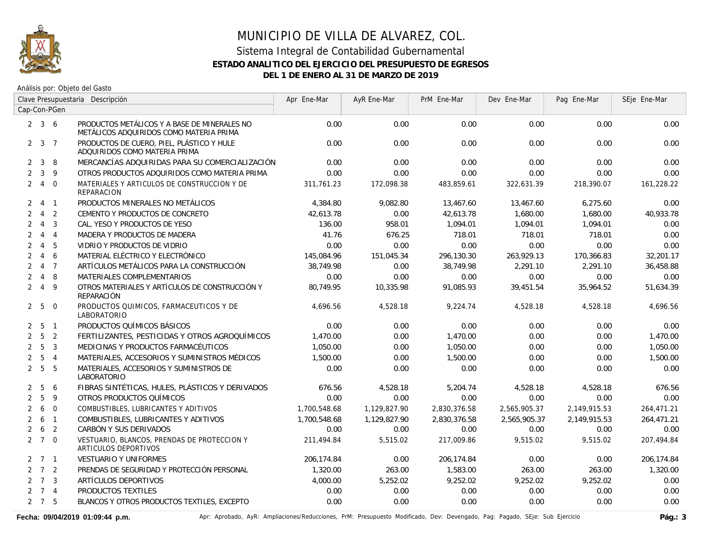

Análisis por: Objeto del Gasto

|                | Clave Presupuestaria Descripción |                |                                                                                         | Apr Ene-Mar  | AyR Ene-Mar  | PrM Ene-Mar  | Dev Ene-Mar  | Pag Ene-Mar  | SEje Ene-Mar |
|----------------|----------------------------------|----------------|-----------------------------------------------------------------------------------------|--------------|--------------|--------------|--------------|--------------|--------------|
|                |                                  | Cap-Con-PGen   |                                                                                         |              |              |              |              |              |              |
|                | $2 \quad 3 \quad 6$              |                | PRODUCTOS METÁLICOS Y A BASE DE MINERALES NO<br>METÁLICOS ADQUIRIDOS COMO MATERIA PRIMA | 0.00         | 0.00         | 0.00         | 0.00         | 0.00         | 0.00         |
|                | $2 \t3 \t7$                      |                | PRODUCTOS DE CUERO, PIEL, PLÁSTICO Y HULE<br>ADQUIRIDOS COMO MATERIA PRIMA              | 0.00         | 0.00         | 0.00         | 0.00         | 0.00         | 0.00         |
| $\mathbf{2}$   | 3                                | 8              | MERCANCÍAS ADQUIRIDAS PARA SU COMERCIALIZACIÓN                                          | 0.00         | 0.00         | 0.00         | 0.00         | 0.00         | 0.00         |
| $\overline{2}$ | $\mathbf{3}$                     | 9              | OTROS PRODUCTOS ADQUIRIDOS COMO MATERIA PRIMA                                           | 0.00         | 0.00         | 0.00         | 0.00         | 0.00         | 0.00         |
| $\overline{2}$ | $\overline{4}$                   | $\overline{0}$ | MATERIALES Y ARTICULOS DE CONSTRUCCION Y DE<br><b>REPARACION</b>                        | 311,761.23   | 172,098.38   | 483,859.61   | 322,631.39   | 218,390.07   | 161,228.22   |
| $\overline{2}$ |                                  | 4 1            | PRODUCTOS MINERALES NO METÁLICOS                                                        | 4,384.80     | 9,082.80     | 13,467.60    | 13,467.60    | 6,275.60     | 0.00         |
| $\overline{2}$ | $\overline{4}$                   | $\overline{2}$ | CEMENTO Y PRODUCTOS DE CONCRETO                                                         | 42,613.78    | 0.00         | 42,613.78    | 1,680.00     | 1,680.00     | 40,933.78    |
| $\overline{2}$ | $\overline{4}$                   | $\overline{3}$ | CAL, YESO Y PRODUCTOS DE YESO                                                           | 136.00       | 958.01       | 1,094.01     | 1,094.01     | 1,094.01     | 0.00         |
| $\overline{2}$ | $\overline{4}$                   | $\overline{4}$ | MADERA Y PRODUCTOS DE MADERA                                                            | 41.76        | 676.25       | 718.01       | 718.01       | 718.01       | 0.00         |
| $\overline{2}$ | $\overline{4}$                   | - 5            | VIDRIO Y PRODUCTOS DE VIDRIO                                                            | 0.00         | 0.00         | 0.00         | 0.00         | 0.00         | 0.00         |
| $\overline{2}$ | $\overline{4}$                   | 6              | MATERIAL ELÉCTRICO Y ELECTRÓNICO                                                        | 145,084.96   | 151,045.34   | 296,130.30   | 263,929.13   | 170,366.83   | 32,201.17    |
| $\overline{2}$ | $\overline{4}$                   | $\overline{7}$ | ARTÍCULOS METÁLICOS PARA LA CONSTRUCCIÓN                                                | 38,749.98    | 0.00         | 38,749.98    | 2,291.10     | 2,291.10     | 36,458.88    |
| $\overline{2}$ | $\overline{4}$                   | -8             | MATERIALES COMPLEMENTARIOS                                                              | 0.00         | 0.00         | 0.00         | 0.00         | 0.00         | 0.00         |
|                | $2 \quad 4$                      | - 9            | OTROS MATERIALES Y ARTÍCULOS DE CONSTRUCCIÓN Y<br>REPARACIÓN                            | 80,749.95    | 10,335.98    | 91,085.93    | 39,451.54    | 35,964.52    | 51,634.39    |
|                | 2 <sub>5</sub>                   | $\overline{0}$ | PRODUCTOS QUIMICOS, FARMACEUTICOS Y DE<br>LABORATORIO                                   | 4,696.56     | 4,528.18     | 9,224.74     | 4,528.18     | 4,528.18     | 4,696.56     |
| $\mathbf{2}$   |                                  | 5 1            | PRODUCTOS QUÍMICOS BÁSICOS                                                              | 0.00         | 0.00         | 0.00         | 0.00         | 0.00         | 0.00         |
| $\overline{2}$ | $5\overline{)}$                  | $\overline{2}$ | FERTILIZANTES, PESTICIDAS Y OTROS AGROQUÍMICOS                                          | 1,470.00     | 0.00         | 1,470.00     | 0.00         | 0.00         | 1,470.00     |
| $\overline{2}$ | 5                                | $\overline{3}$ | MEDICINAS Y PRODUCTOS FARMACÉUTICOS                                                     | 1,050.00     | 0.00         | 1,050.00     | 0.00         | 0.00         | 1,050.00     |
| $\overline{2}$ | 5                                | $\overline{4}$ | MATERIALES, ACCESORIOS Y SUMINISTROS MÉDICOS                                            | 1,500.00     | 0.00         | 1,500.00     | 0.00         | 0.00         | 1,500.00     |
|                | 2 <sub>5</sub>                   | 5              | MATERIALES, ACCESORIOS Y SUMINISTROS DE<br>LABORATORIO                                  | 0.00         | 0.00         | 0.00         | 0.00         | 0.00         | 0.00         |
| $\mathbf{2}$   | 5                                | 6              | FIBRAS SINTÉTICAS, HULES, PLÁSTICOS Y DERIVADOS                                         | 676.56       | 4,528.18     | 5,204.74     | 4,528.18     | 4,528.18     | 676.56       |
| $\overline{2}$ | 5                                | 9              | OTROS PRODUCTOS QUÍMICOS                                                                | 0.00         | 0.00         | 0.00         | 0.00         | 0.00         | 0.00         |
| $\overline{2}$ | 6                                | $\overline{0}$ | COMBUSTIBLES, LUBRICANTES Y ADITIVOS                                                    | 1,700,548.68 | 1,129,827.90 | 2,830,376.58 | 2,565,905.37 | 2,149,915.53 | 264,471.21   |
| $\mathbf{2}$   |                                  | 6 <sub>1</sub> | COMBUSTIBLES, LUBRICANTES Y ADITIVOS                                                    | 1,700,548.68 | 1,129,827.90 | 2,830,376.58 | 2,565,905.37 | 2,149,915.53 | 264,471.21   |
| $\overline{2}$ | 6                                | $\overline{2}$ | CARBÓN Y SUS DERIVADOS                                                                  | 0.00         | 0.00         | 0.00         | 0.00         | 0.00         | 0.00         |
|                | $2 \quad 7 \quad 0$              |                | VESTUARIO, BLANCOS, PRENDAS DE PROTECCION Y<br>ARTICULOS DEPORTIVOS                     | 211,494.84   | 5,515.02     | 217,009.86   | 9,515.02     | 9,515.02     | 207,494.84   |
|                | $2 \quad 7 \quad 1$              |                | <b>VESTUARIO Y UNIFORMES</b>                                                            | 206,174.84   | 0.00         | 206,174.84   | 0.00         | 0.00         | 206,174.84   |
|                | $2 \quad 7 \quad 2$              |                | PRENDAS DE SEGURIDAD Y PROTECCIÓN PERSONAL                                              | 1,320.00     | 263.00       | 1,583.00     | 263.00       | 263.00       | 1,320.00     |
|                | $2 \quad 7 \quad 3$              |                | ARTÍCULOS DEPORTIVOS                                                                    | 4,000.00     | 5,252.02     | 9,252.02     | 9,252.02     | 9,252.02     | 0.00         |
|                | $2 \quad 7 \quad 4$              |                | PRODUCTOS TEXTILES                                                                      | 0.00         | 0.00         | 0.00         | 0.00         | 0.00         | 0.00         |
|                | $2 \quad 7 \quad 5$              |                | BLANCOS Y OTROS PRODUCTOS TEXTILES, EXCEPTO                                             | 0.00         | 0.00         | 0.00         | 0.00         | 0.00         | 0.00         |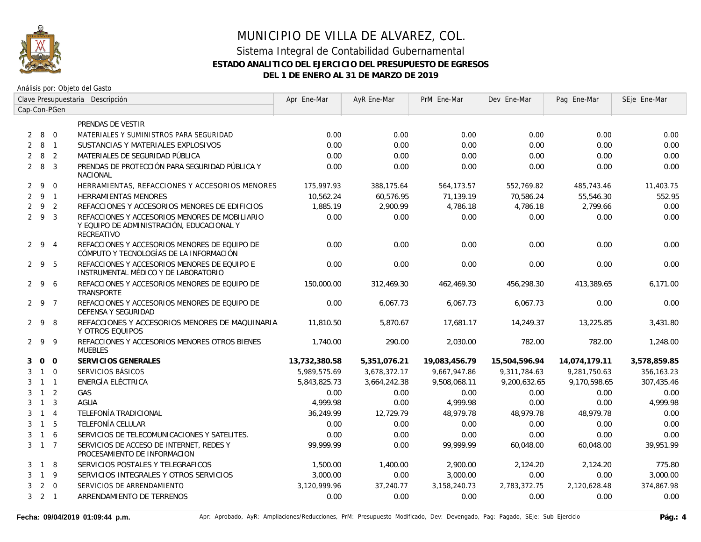

|                | Clave Presupuestaria Descripción |                |                                                                                                           | Apr Ene-Mar   | AyR Ene-Mar  | PrM Ene-Mar   | Dev Ene-Mar   | Pag Ene-Mar   | SEje Ene-Mar |
|----------------|----------------------------------|----------------|-----------------------------------------------------------------------------------------------------------|---------------|--------------|---------------|---------------|---------------|--------------|
|                |                                  | Cap-Con-PGen   |                                                                                                           |               |              |               |               |               |              |
|                |                                  |                | PRENDAS DE VESTIR                                                                                         |               |              |               |               |               |              |
| 2              |                                  | 8 0            | MATERIALES Y SUMINISTROS PARA SEGURIDAD                                                                   | 0.00          | 0.00         | 0.00          | 0.00          | 0.00          | 0.00         |
| $\overline{2}$ | 8 1                              |                | SUSTANCIAS Y MATERIALES EXPLOSIVOS                                                                        | 0.00          | 0.00         | 0.00          | 0.00          | 0.00          | 0.00         |
| $\overline{2}$ | 8                                | $\overline{2}$ | MATERIALES DE SEGURIDAD PÚBLICA                                                                           | 0.00          | 0.00         | 0.00          | 0.00          | 0.00          | 0.00         |
|                | $2 \quad 8$                      | $\overline{3}$ | PRENDAS DE PROTECCIÓN PARA SEGURIDAD PÚBLICA Y<br><b>NACIONAL</b>                                         | 0.00          | 0.00         | 0.00          | 0.00          | 0.00          | 0.00         |
|                | $2 \overline{9}$                 | $\Omega$       | HERRAMIENTAS, REFACCIONES Y ACCESORIOS MENORES                                                            | 175,997.93    | 388,175.64   | 564,173.57    | 552,769.82    | 485,743.46    | 11,403.75    |
|                | $2 \quad 9 \quad 1$              |                | <b>HERRAMIENTAS MENORES</b>                                                                               | 10,562.24     | 60,576.95    | 71,139.19     | 70,586.24     | 55,546.30     | 552.95       |
| 2              | 9 2                              |                | REFACCIONES Y ACCESORIOS MENORES DE EDIFICIOS                                                             | 1,885.19      | 2,900.99     | 4,786.18      | 4,786.18      | 2,799.66      | 0.00         |
|                | 293                              |                | REFACCIONES Y ACCESORIOS MENORES DE MOBILIARIO<br>Y EQUIPO DE ADMINISTRACIÓN, EDUCACIONAL Y<br>RECREATIVO | 0.00          | 0.00         | 0.00          | 0.00          | 0.00          | 0.00         |
|                | $2 \t9 \t4$                      |                | REFACCIONES Y ACCESORIOS MENORES DE EQUIPO DE<br>CÓMPUTO Y TECNOLOGÍAS DE LA INFORMACIÓN                  | 0.00          | 0.00         | 0.00          | 0.00          | 0.00          | 0.00         |
|                | 295                              |                | REFACCIONES Y ACCESORIOS MENORES DE EQUIPO E<br>INSTRUMENTAL MÉDICO Y DE LABORATORIO                      | 0.00          | 0.00         | 0.00          | 0.00          | 0.00          | 0.00         |
|                | $2 \quad 9 \quad 6$              |                | REFACCIONES Y ACCESORIOS MENORES DE EQUIPO DE<br>TRANSPORTE                                               | 150,000.00    | 312,469.30   | 462,469.30    | 456,298.30    | 413,389.65    | 6,171.00     |
|                | 297                              |                | REFACCIONES Y ACCESORIOS MENORES DE EQUIPO DE<br>DEFENSA Y SEGURIDAD                                      | 0.00          | 6,067.73     | 6,067.73      | 6,067.73      | 0.00          | 0.00         |
|                | 298                              |                | REFACCIONES Y ACCESORIOS MENORES DE MAQUINARIA<br>Y OTROS EQUIPOS                                         | 11,810.50     | 5,870.67     | 17,681.17     | 14,249.37     | 13,225.85     | 3,431.80     |
|                | $2 \theta$                       | -9             | REFACCIONES Y ACCESORIOS MENORES OTROS BIENES<br><b>MUEBLES</b>                                           | 1,740.00      | 290.00       | 2,030.00      | 782.00        | 782.00        | 1,248.00     |
| 3              | $0\quad 0$                       |                | SERVICIOS GENERALES                                                                                       | 13,732,380.58 | 5,351,076.21 | 19,083,456.79 | 15,504,596.94 | 14,074,179.11 | 3,578,859.85 |
| 3              | $1 \quad 0$                      |                | SERVICIOS BÁSICOS                                                                                         | 5,989,575.69  | 3,678,372.17 | 9,667,947.86  | 9,311,784.63  | 9,281,750.63  | 356,163.23   |
| 3              | $1 \quad 1$                      |                | ENERGÍA ELÉCTRICA                                                                                         | 5,843,825.73  | 3,664,242.38 | 9.508.068.11  | 9,200,632.65  | 9.170.598.65  | 307,435.46   |
| 3              | $1\quad 2$                       |                | GAS                                                                                                       | 0.00          | 0.00         | 0.00          | 0.00          | 0.00          | 0.00         |
| 3              | $\overline{1}$                   | $\overline{3}$ | <b>AGUA</b>                                                                                               | 4,999.98      | 0.00         | 4,999.98      | 0.00          | 0.00          | 4,999.98     |
| 3              | $1 \quad 4$                      |                | TELEFONÍA TRADICIONAL                                                                                     | 36,249.99     | 12,729.79    | 48,979.78     | 48,979.78     | 48,979.78     | 0.00         |
| 3              | $1\quad5$                        |                | TELEFONÍA CELULAR                                                                                         | 0.00          | 0.00         | 0.00          | 0.00          | 0.00          | 0.00         |
| 3              | $1\quad6$                        |                | SERVICIOS DE TELECOMUNICACIONES Y SATELITES.                                                              | 0.00          | 0.00         | 0.00          | 0.00          | 0.00          | 0.00         |
|                | $3 \quad 1 \quad 7$              |                | SERVICIOS DE ACCESO DE INTERNET, REDES Y<br>PROCESAMIENTO DE INFORMACION                                  | 99,999.99     | 0.00         | 99,999.99     | 60,048.00     | 60,048.00     | 39,951.99    |
| 3              | 1 8                              |                | SERVICIOS POSTALES Y TELEGRAFICOS                                                                         | 1,500.00      | 1,400.00     | 2,900.00      | 2,124.20      | 2,124.20      | 775.80       |
| 3              | $\overline{1}$                   | 9              | SERVICIOS INTEGRALES Y OTROS SERVICIOS                                                                    | 3,000.00      | 0.00         | 3,000.00      | 0.00          | 0.00          | 3,000.00     |
| 3              |                                  | $2\quad 0$     | SERVICIOS DE ARRENDAMIENTO                                                                                | 3,120,999.96  | 37,240.77    | 3,158,240.73  | 2,783,372.75  | 2,120,628.48  | 374,867.98   |
|                | $3 \quad 2 \quad 1$              |                | ARRENDAMIENTO DE TERRENOS                                                                                 | 0.00          | 0.00         | 0.00          | 0.00          | 0.00          | 0.00         |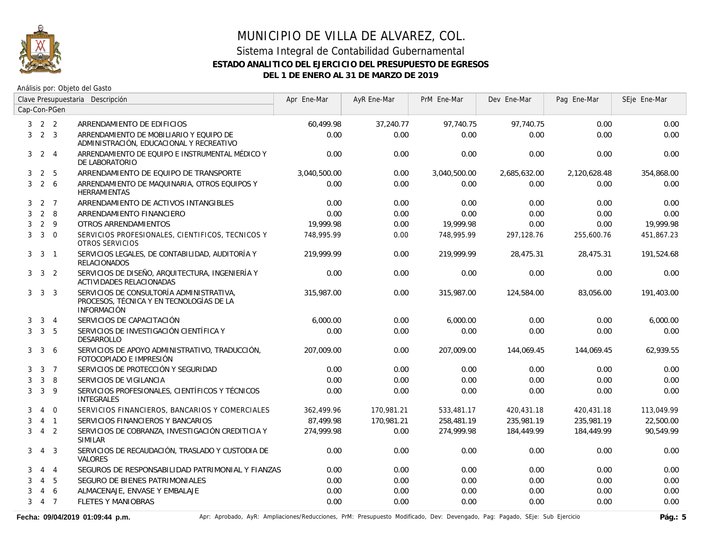

Análisis por: Objeto del Gasto

|                |                         |                  | Clave Presupuestaria Descripción                                                                           | Apr Ene-Mar  | AyR Ene-Mar | PrM Ene-Mar  | Dev Ene-Mar  | Pag Ene-Mar  | SEje Ene-Mar |
|----------------|-------------------------|------------------|------------------------------------------------------------------------------------------------------------|--------------|-------------|--------------|--------------|--------------|--------------|
|                |                         | Cap-Con-PGen     |                                                                                                            |              |             |              |              |              |              |
|                | $3 \quad 2 \quad 2$     |                  | ARRENDAMIENTO DE EDIFICIOS                                                                                 | 60,499.98    | 37,240.77   | 97,740.75    | 97,740.75    | 0.00         | 0.00         |
|                | $3 \quad 2 \quad 3$     |                  | ARRENDAMIENTO DE MOBILIARIO Y EQUIPO DE<br>ADMINISTRACIÓN, EDUCACIONAL Y RECREATIVO                        | 0.00         | 0.00        | 0.00         | 0.00         | 0.00         | 0.00         |
| 3              |                         | $2 \quad 4$      | ARRENDAMIENTO DE EQUIPO E INSTRUMENTAL MÉDICO Y<br>DE LABORATORIO                                          | 0.00         | 0.00        | 0.00         | 0.00         | 0.00         | 0.00         |
| 3              | $\overline{2}$          | 5                | ARRENDAMIENTO DE EQUIPO DE TRANSPORTE                                                                      | 3,040,500.00 | 0.00        | 3,040,500.00 | 2,685,632.00 | 2,120,628.48 | 354,868.00   |
| 3              |                         | 2 6              | ARRENDAMIENTO DE MAQUINARIA, OTROS EQUIPOS Y<br><b>HERRAMIENTAS</b>                                        | 0.00         | 0.00        | 0.00         | 0.00         | 0.00         | 0.00         |
| 3              |                         | $2 \overline{7}$ | ARRENDAMIENTO DE ACTIVOS INTANGIBLES                                                                       | 0.00         | 0.00        | 0.00         | 0.00         | 0.00         | 0.00         |
| 3              | $\overline{2}$          | 8                | ARRENDAMIENTO FINANCIERO                                                                                   | 0.00         | 0.00        | 0.00         | 0.00         | 0.00         | 0.00         |
| 3              |                         | $2 \quad 9$      | OTROS ARRENDAMIENTOS                                                                                       | 19,999.98    | 0.00        | 19,999.98    | 0.00         | 0.00         | 19,999.98    |
| 3              | $\overline{3}$          | $\overline{0}$   | SERVICIOS PROFESIONALES, CIENTIFICOS, TECNICOS Y<br>OTROS SERVICIOS                                        | 748,995.99   | 0.00        | 748,995.99   | 297,128.76   | 255,600.76   | 451,867.23   |
| 3              | $\overline{\mathbf{3}}$ | $\overline{1}$   | SERVICIOS LEGALES, DE CONTABILIDAD, AUDITORÍA Y<br><b>RELACIONADOS</b>                                     | 219.999.99   | 0.00        | 219,999.99   | 28,475.31    | 28,475.31    | 191,524.68   |
| 3 <sup>1</sup> | 3 <sup>2</sup>          |                  | SERVICIOS DE DISEÑO, ARQUITECTURA, INGENIERÍA Y<br>ACTIVIDADES RELACIONADAS                                | 0.00         | 0.00        | 0.00         | 0.00         | 0.00         | 0.00         |
| 3              | $\overline{\mathbf{3}}$ | $\overline{3}$   | SERVICIOS DE CONSULTORÍA ADMINISTRATIVA,<br>PROCESOS, TÉCNICA Y EN TECNOLOGÍAS DE LA<br><b>INFORMACIÓN</b> | 315,987.00   | 0.00        | 315,987.00   | 124,584.00   | 83.056.00    | 191,403.00   |
| 3              |                         | $3 \quad 4$      | SERVICIOS DE CAPACITACIÓN                                                                                  | 6,000.00     | 0.00        | 6,000.00     | 0.00         | 0.00         | 6,000.00     |
| 3              |                         | 3 <sub>5</sub>   | SERVICIOS DE INVESTIGACIÓN CIENTÍFICA Y<br>DESARROLLO                                                      | 0.00         | 0.00        | 0.00         | 0.00         | 0.00         | 0.00         |
| 3              | $\mathbf{3}$            | 6                | SERVICIOS DE APOYO ADMINISTRATIVO, TRADUCCIÓN,<br>FOTOCOPIADO E IMPRESIÓN                                  | 207,009.00   | 0.00        | 207,009.00   | 144,069.45   | 144,069.45   | 62,939.55    |
| 3              | $\mathbf{3}$            | $\overline{7}$   | SERVICIOS DE PROTECCIÓN Y SEGURIDAD                                                                        | 0.00         | 0.00        | 0.00         | 0.00         | 0.00         | 0.00         |
| 3              | $\mathbf{3}$            | 8                | SERVICIOS DE VIGILANCIA                                                                                    | 0.00         | 0.00        | 0.00         | 0.00         | 0.00         | 0.00         |
| 3              | 3                       | 9                | SERVICIOS PROFESIONALES, CIENTÍFICOS Y TÉCNICOS<br><b>INTEGRALES</b>                                       | 0.00         | 0.00        | 0.00         | 0.00         | 0.00         | 0.00         |
| 3              | $\overline{4}$          | $\Omega$         | SERVICIOS FINANCIEROS, BANCARIOS Y COMERCIALES                                                             | 362.499.96   | 170,981.21  | 533,481.17   | 420,431.18   | 420,431.18   | 113,049.99   |
| 3              |                         | $4 \quad 1$      | SERVICIOS FINANCIEROS Y BANCARIOS                                                                          | 87,499.98    | 170,981.21  | 258,481.19   | 235,981.19   | 235,981.19   | 22,500.00    |
| 3              |                         | 4 <sub>2</sub>   | SERVICIOS DE COBRANZA, INVESTIGACIÓN CREDITICIA Y<br><b>SIMILAR</b>                                        | 274,999.98   | 0.00        | 274,999.98   | 184,449.99   | 184,449.99   | 90,549.99    |
| 3              | $\overline{4}$          | 3                | SERVICIOS DE RECAUDACIÓN, TRASLADO Y CUSTODIA DE<br><b>VALORES</b>                                         | 0.00         | 0.00        | 0.00         | 0.00         | 0.00         | 0.00         |
| 3              | $\overline{4}$          | $\overline{4}$   | SEGUROS DE RESPONSABILIDAD PATRIMONIAL Y FIANZAS                                                           | 0.00         | 0.00        | 0.00         | 0.00         | 0.00         | 0.00         |
| 3              | $\overline{4}$          | 5                | SEGURO DE BIENES PATRIMONIALES                                                                             | 0.00         | 0.00        | 0.00         | 0.00         | 0.00         | 0.00         |
| 3              | 4                       | 6                | ALMACENAJE, ENVASE Y EMBALAJE                                                                              | 0.00         | 0.00        | 0.00         | 0.00         | 0.00         | 0.00         |
| 3              |                         | 4 7              | <b>FLETES Y MANIOBRAS</b>                                                                                  | 0.00         | 0.00        | 0.00         | 0.00         | 0.00         | 0.00         |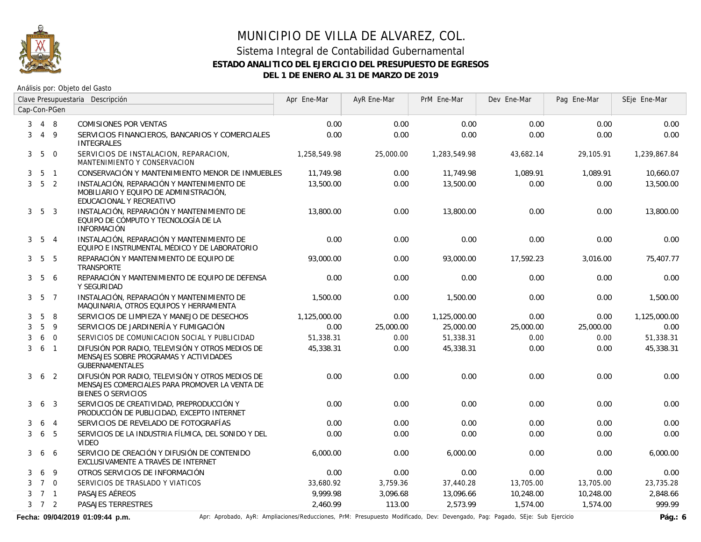

Análisis por: Objeto del Gasto

|                |                     |                 | Clave Presupuestaria Descripción                                                                                                | Apr Ene-Mar  | AyR Ene-Mar | PrM Ene-Mar  | Dev Ene-Mar | Pag Ene-Mar | SEje Ene-Mar |
|----------------|---------------------|-----------------|---------------------------------------------------------------------------------------------------------------------------------|--------------|-------------|--------------|-------------|-------------|--------------|
|                |                     | Cap-Con-PGen    |                                                                                                                                 |              |             |              |             |             |              |
| 3              |                     | 4 8             | <b>COMISIONES POR VENTAS</b>                                                                                                    | 0.00         | 0.00        | 0.00         | 0.00        | 0.00        | 0.00         |
| 3              |                     | $4\overline{9}$ | SERVICIOS FINANCIEROS, BANCARIOS Y COMERCIALES<br><b>INTEGRALES</b>                                                             | 0.00         | 0.00        | 0.00         | 0.00        | 0.00        | 0.00         |
| 3 <sup>1</sup> | 5                   | $\overline{0}$  | SERVICIOS DE INSTALACION, REPARACION,<br>MANTENIMIENTO Y CONSERVACION                                                           | 1,258,549.98 | 25,000.00   | 1,283,549.98 | 43,682.14   | 29,105.91   | 1,239,867.84 |
| 3              | 5                   | $\overline{1}$  | CONSERVACIÓN Y MANTENIMIENTO MENOR DE INMUEBLES                                                                                 | 11,749.98    | 0.00        | 11,749.98    | 1,089.91    | 1,089.91    | 10,660.07    |
| 3              |                     | 5 <sub>2</sub>  | INSTALACIÓN, REPARACIÓN Y MANTENIMIENTO DE<br>MOBILIARIO Y EQUIPO DE ADMINISTRACIÓN.<br>EDUCACIONAL Y RECREATIVO                | 13,500.00    | 0.00        | 13,500.00    | 0.00        | 0.00        | 13,500.00    |
| 3              |                     | 5 <sub>3</sub>  | INSTALACIÓN, REPARACIÓN Y MANTENIMIENTO DE<br>EQUIPO DE CÓMPUTO Y TECNOLOGÍA DE LA<br><b>INFORMACIÓN</b>                        | 13,800.00    | 0.00        | 13,800.00    | 0.00        | 0.00        | 13,800.00    |
| 3              |                     | 5 4             | INSTALACIÓN, REPARACIÓN Y MANTENIMIENTO DE<br>EQUIPO E INSTRUMENTAL MÉDICO Y DE LABORATORIO                                     | 0.00         | 0.00        | 0.00         | 0.00        | 0.00        | 0.00         |
| 3              | $5\overline{)}$     | 5               | REPARACIÓN Y MANTENIMIENTO DE EQUIPO DE<br><b>TRANSPORTE</b>                                                                    | 93,000.00    | 0.00        | 93,000.00    | 17,592.23   | 3,016.00    | 75,407.77    |
| 3              | $5\overline{)}$     | -6              | REPARACIÓN Y MANTENIMIENTO DE EQUIPO DE DEFENSA<br>Y SEGURIDAD                                                                  | 0.00         | 0.00        | 0.00         | 0.00        | 0.00        | 0.00         |
|                | $3\quad 5\quad 7$   |                 | INSTALACIÓN, REPARACIÓN Y MANTENIMIENTO DE<br>MAQUINARIA, OTROS EQUIPOS Y HERRAMIENTA                                           | 1,500.00     | 0.00        | 1,500.00     | 0.00        | 0.00        | 1,500.00     |
| 3              | 5                   | 8               | SERVICIOS DE LIMPIEZA Y MANEJO DE DESECHOS                                                                                      | 1,125,000.00 | 0.00        | 1,125,000.00 | 0.00        | 0.00        | 1,125,000.00 |
| 3              | 5                   | $\overline{9}$  | SERVICIOS DE JARDINERÍA Y FUMIGACIÓN                                                                                            | 0.00         | 25,000.00   | 25,000.00    | 25,000.00   | 25,000.00   | 0.00         |
| 3              | 6                   | $\overline{0}$  | SERVICIOS DE COMUNICACION SOCIAL Y PUBLICIDAD                                                                                   | 51,338.31    | 0.00        | 51,338.31    | 0.00        | 0.00        | 51,338.31    |
| 3              |                     | 6 1             | DIFUSIÓN POR RADIO, TELEVISIÓN Y OTROS MEDIOS DE<br>MENSAJES SOBRE PROGRAMAS Y ACTIVIDADES<br><b>GUBERNAMENTALES</b>            | 45,338.31    | 0.00        | 45,338.31    | 0.00        | 0.00        | 45,338.31    |
| 3              | 6                   | $\overline{2}$  | DIFUSIÓN POR RADIO, TELEVISIÓN Y OTROS MEDIOS DE<br>MENSAJES COMERCIALES PARA PROMOVER LA VENTA DE<br><b>BIENES O SERVICIOS</b> | 0.00         | 0.00        | 0.00         | 0.00        | 0.00        | 0.00         |
| 3              | 6                   | $\overline{3}$  | SERVICIOS DE CREATIVIDAD, PREPRODUCCIÓN Y<br>PRODUCCIÓN DE PUBLICIDAD, EXCEPTO INTERNET                                         | 0.00         | 0.00        | 0.00         | 0.00        | 0.00        | 0.00         |
| 3              | 6                   | $\overline{4}$  | SERVICIOS DE REVELADO DE FOTOGRAFÍAS                                                                                            | 0.00         | 0.00        | 0.00         | 0.00        | 0.00        | 0.00         |
| 3              | 6                   | 5               | SERVICIOS DE LA INDUSTRIA FÍLMICA, DEL SONIDO Y DEL<br><b>VIDEO</b>                                                             | 0.00         | 0.00        | 0.00         | 0.00        | 0.00        | 0.00         |
| 3              | 6                   | 6               | SERVICIO DE CREACIÓN Y DIFUSIÓN DE CONTENIDO<br>EXCLUSIVAMENTE A TRAVÉS DE INTERNET                                             | 6.000.00     | 0.00        | 6.000.00     | 0.00        | 0.00        | 6,000.00     |
| 3              | 6                   | 9               | OTROS SERVICIOS DE INFORMACIÓN                                                                                                  | 0.00         | 0.00        | 0.00         | 0.00        | 0.00        | 0.00         |
| 3              |                     | $7\quad0$       | SERVICIOS DE TRASLADO Y VIATICOS                                                                                                | 33,680.92    | 3,759.36    | 37,440.28    | 13,705.00   | 13,705.00   | 23,735.28    |
| 3              | 7 <sub>1</sub>      |                 | PASAJES AÉREOS                                                                                                                  | 9,999.98     | 3,096.68    | 13,096.66    | 10,248.00   | 10,248.00   | 2,848.66     |
|                | $3 \quad 7 \quad 2$ |                 | <b>PASAJES TERRESTRES</b>                                                                                                       | 2.460.99     | 113.00      | 2,573.99     | 1,574.00    | 1,574.00    | 999.99       |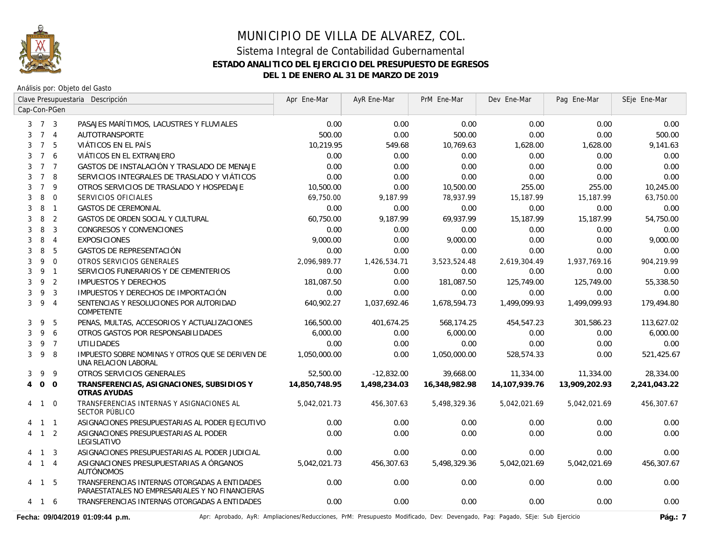

Análisis por: Objeto del Gasto

|                |                     |                | Clave Presupuestaria Descripción                                                                 | Apr Ene-Mar   | AyR Ene-Mar  | PrM Ene-Mar   | Dev Ene-Mar   | Pag Ene-Mar   | SEje Ene-Mar |
|----------------|---------------------|----------------|--------------------------------------------------------------------------------------------------|---------------|--------------|---------------|---------------|---------------|--------------|
|                |                     | Cap-Con-PGen   |                                                                                                  |               |              |               |               |               |              |
|                | $3 \quad 7 \quad 3$ |                | PASAJES MARÍTIMOS, LACUSTRES Y FLUVIALES                                                         | 0.00          | 0.00         | 0.00          | 0.00          | 0.00          | 0.00         |
| 3              |                     | 7 <sub>4</sub> | AUTOTRANSPORTE                                                                                   | 500.00        | 0.00         | 500.00        | 0.00          | 0.00          | 500.00       |
| 3              | $\overline{7}$      | 5              | VIÁTICOS EN EL PAÍS                                                                              | 10,219.95     | 549.68       | 10,769.63     | 1,628.00      | 1,628.00      | 9,141.63     |
| 3              | $\overline{7}$      | 6              | VIÁTICOS EN EL EXTRANJERO                                                                        | 0.00          | 0.00         | 0.00          | 0.00          | 0.00          | 0.00         |
| 3              | 7 7                 |                | GASTOS DE INSTALACIÓN Y TRASLADO DE MENAJE                                                       | 0.00          | 0.00         | 0.00          | 0.00          | 0.00          | 0.00         |
| 3              | $7\overline{ }$     | 8              | SERVICIOS INTEGRALES DE TRASLADO Y VIÁTICOS                                                      | 0.00          | 0.00         | 0.00          | 0.00          | 0.00          | 0.00         |
| 3              | $\overline{7}$      | 9              | OTROS SERVICIOS DE TRASLADO Y HOSPEDAJE                                                          | 10,500.00     | 0.00         | 10,500.00     | 255.00        | 255.00        | 10,245.00    |
| 3              | 8                   | $\mathbf{0}$   | SERVICIOS OFICIALES                                                                              | 69,750.00     | 9,187.99     | 78,937.99     | 15,187.99     | 15,187.99     | 63,750.00    |
| 3              | 8                   | $\overline{1}$ | <b>GASTOS DE CEREMONIAL</b>                                                                      | 0.00          | 0.00         | 0.00          | 0.00          | 0.00          | 0.00         |
| 3              | 8                   | 2              | GASTOS DE ORDEN SOCIAL Y CULTURAL                                                                | 60.750.00     | 9.187.99     | 69.937.99     | 15,187.99     | 15,187.99     | 54,750.00    |
| 3              | 8                   | $\mathbf{3}$   | <b>CONGRESOS Y CONVENCIONES</b>                                                                  | 0.00          | 0.00         | 0.00          | 0.00          | 0.00          | 0.00         |
| 3              | 8                   | $\overline{4}$ | <b>EXPOSICIONES</b>                                                                              | 9,000.00      | 0.00         | 9,000.00      | 0.00          | 0.00          | 9,000.00     |
| 3              | 8                   | 5              | <b>GASTOS DE REPRESENTACIÓN</b>                                                                  | 0.00          | 0.00         | 0.00          | 0.00          | 0.00          | 0.00         |
| 3              | 9                   | $\mathbf{0}$   | OTROS SERVICIOS GENERALES                                                                        | 2,096,989.77  | 1,426,534.71 | 3,523,524.48  | 2,619,304.49  | 1,937,769.16  | 904,219.99   |
| 3              | 9                   | $\overline{1}$ | SERVICIOS FUNERARIOS Y DE CEMENTERIOS                                                            | 0.00          | 0.00         | 0.00          | 0.00          | 0.00          | 0.00         |
| 3              | 9                   | 2              | <b>IMPUESTOS Y DERECHOS</b>                                                                      | 181.087.50    | 0.00         | 181,087.50    | 125,749.00    | 125,749.00    | 55,338.50    |
| 3              | 9                   | $\mathbf{3}$   | IMPUESTOS Y DERECHOS DE IMPORTACIÓN                                                              | 0.00          | 0.00         | 0.00          | 0.00          | 0.00          | 0.00         |
| 3              | 9                   | $\overline{4}$ | SENTENCIAS Y RESOLUCIONES POR AUTORIDAD<br>COMPETENTE                                            | 640,902.27    | 1,037,692.46 | 1,678,594.73  | 1,499,099.93  | 1,499,099.93  | 179,494.80   |
| 3              | 9                   | 5              | PENAS, MULTAS, ACCESORIOS Y ACTUALIZACIONES                                                      | 166,500.00    | 401,674.25   | 568,174.25    | 454,547.23    | 301,586.23    | 113,627.02   |
| 3              | 9                   | 6              | OTROS GASTOS POR RESPONSABILIDADES                                                               | 6,000.00      | 0.00         | 6,000.00      | 0.00          | 0.00          | 6,000.00     |
| 3              | 9                   | $\overline{7}$ | <b>UTILIDADES</b>                                                                                | 0.00          | 0.00         | 0.00          | 0.00          | 0.00          | 0.00         |
| 3              | 9                   | -8             | IMPUESTO SOBRE NOMINAS Y OTROS QUE SE DERIVEN DE<br>UNA RELACION LABORAL                         | 1.050.000.00  | 0.00         | 1.050.000.00  | 528,574.33    | 0.00          | 521,425.67   |
| 3              | 9                   | 9              | OTROS SERVICIOS GENERALES                                                                        | 52,500.00     | $-12,832.00$ | 39,668.00     | 11,334.00     | 11,334.00     | 28,334.00    |
| $\overline{4}$ | $0\quad 0$          |                | TRANSFERENCIAS, ASIGNACIONES, SUBSIDIOS Y<br>OTRAS AYUDAS                                        | 14,850,748.95 | 1,498,234.03 | 16,348,982.98 | 14,107,939.76 | 13,909,202.93 | 2,241,043.22 |
|                | 4 1 0               |                | TRANSFERENCIAS INTERNAS Y ASIGNACIONES AL<br>SECTOR PÚBLICO                                      | 5,042,021.73  | 456,307.63   | 5,498,329.36  | 5,042,021.69  | 5,042,021.69  | 456,307.67   |
|                | $1\quad1$           |                | ASIGNACIONES PRESUPUESTARIAS AL PODER EJECUTIVO                                                  | 0.00          | 0.00         | 0.00          | 0.00          | 0.00          | 0.00         |
| 4              | $1\quad 2$          |                | ASIGNACIONES PRESUPUESTARIAS AL PODER<br>LEGISLATIVO                                             | 0.00          | 0.00         | 0.00          | 0.00          | 0.00          | 0.00         |
|                | $1 \quad 3$         |                | ASIGNACIONES PRESUPUESTARIAS AL PODER JUDICIAL                                                   | 0.00          | 0.00         | 0.00          | 0.00          | 0.00          | 0.00         |
| 4              | $1 \quad 4$         |                | ASIGNACIONES PRESUPUESTARIAS A ÓRGANOS<br><b>AUTÓNOMOS</b>                                       | 5,042,021.73  | 456,307.63   | 5,498,329.36  | 5,042,021.69  | 5,042,021.69  | 456,307.67   |
|                | 4 1                 | -5             | TRANSFERENCIAS INTERNAS OTORGADAS A ENTIDADES<br>PARAESTATALES NO EMPRESARIALES Y NO FINANCIERAS | 0.00          | 0.00         | 0.00          | 0.00          | 0.00          | 0.00         |
| $\overline{4}$ | $\overline{1}$      | 6              | TRANSFERENCIAS INTERNAS OTORGADAS A ENTIDADES                                                    | 0.00          | 0.00         | 0.00          | 0.00          | 0.00          | 0.00         |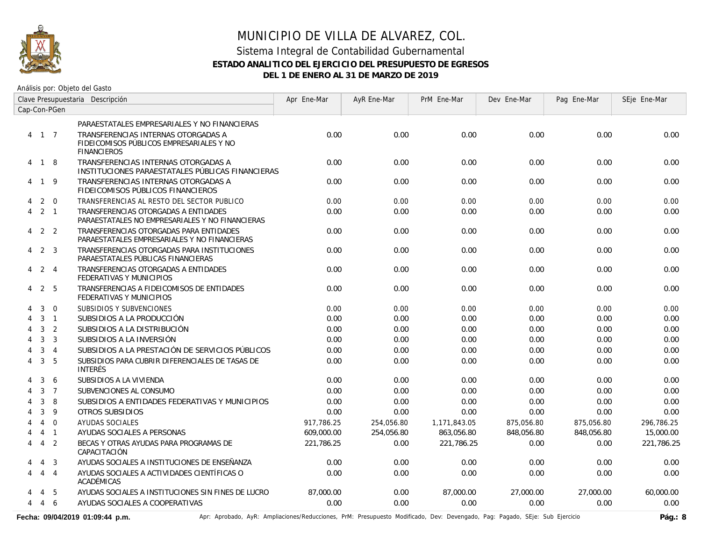

Análisis por: Objeto del Gasto

|              | Clave Presupuestaria Descripción |                |                                                                                                       | Apr Ene-Mar | AyR Ene-Mar | PrM Ene-Mar  | Dev Ene-Mar | Pag Ene-Mar | SEje Ene-Mar |
|--------------|----------------------------------|----------------|-------------------------------------------------------------------------------------------------------|-------------|-------------|--------------|-------------|-------------|--------------|
| Cap-Con-PGen |                                  |                |                                                                                                       |             |             |              |             |             |              |
|              |                                  |                | PARAESTATALES EMPRESARIALES Y NO FINANCIERAS                                                          |             |             |              |             |             |              |
|              | 4 1 7                            |                | TRANSFERENCIAS INTERNAS OTORGADAS A<br>FIDEICOMISOS PÚBLICOS EMPRESARIALES Y NO<br><b>FINANCIEROS</b> | 0.00        | 0.00        | 0.00         | 0.00        | 0.00        | 0.00         |
|              | 4 1 8                            |                | TRANSFERENCIAS INTERNAS OTORGADAS A<br>INSTITUCIONES PARAESTATALES PÚBLICAS FINANCIERAS               | 0.00        | 0.00        | 0.00         | 0.00        | 0.00        | 0.00         |
| 4            | $\mathbf{1}$                     | 9              | TRANSFERENCIAS INTERNAS OTORGADAS A<br>FIDEICOMISOS PÚBLICOS FINANCIEROS                              | 0.00        | 0.00        | 0.00         | 0.00        | 0.00        | 0.00         |
|              | 2                                | $\overline{0}$ | TRANSFERENCIAS AL RESTO DEL SECTOR PUBLICO                                                            | 0.00        | 0.00        | 0.00         | 0.00        | 0.00        | 0.00         |
|              | $4$ 2 1                          |                | TRANSFERENCIAS OTORGADAS A ENTIDADES<br>PARAESTATALES NO EMPRESARIALES Y NO FINANCIERAS               | 0.00        | 0.00        | 0.00         | 0.00        | 0.00        | 0.00         |
| 4            | 2 <sub>2</sub>                   |                | TRANSFERENCIAS OTORGADAS PARA ENTIDADES<br>PARAESTATALES EMPRESARIALES Y NO FINANCIERAS               | 0.00        | 0.00        | 0.00         | 0.00        | 0.00        | 0.00         |
| 4            |                                  | 2 <sup>3</sup> | TRANSFERENCIAS OTORGADAS PARA INSTITUCIONES<br>PARAESTATALES PÚBLICAS FINANCIERAS                     | 0.00        | 0.00        | 0.00         | 0.00        | 0.00        | 0.00         |
| 4            | 2 4                              |                | TRANSFERENCIAS OTORGADAS A ENTIDADES<br>FEDERATIVAS Y MUNICIPIOS                                      | 0.00        | 0.00        | 0.00         | 0.00        | 0.00        | 0.00         |
|              | 4 2 5                            |                | TRANSFERENCIAS A FIDEICOMISOS DE ENTIDADES<br>FEDERATIVAS Y MUNICIPIOS                                | 0.00        | 0.00        | 0.00         | 0.00        | 0.00        | 0.00         |
|              | 3                                | $\mathbf 0$    | SUBSIDIOS Y SUBVENCIONES                                                                              | 0.00        | 0.00        | 0.00         | 0.00        | 0.00        | 0.00         |
|              | 3                                | $\overline{1}$ | SUBSIDIOS A LA PRODUCCIÓN                                                                             | 0.00        | 0.00        | 0.00         | 0.00        | 0.00        | 0.00         |
|              | 3                                | $\overline{2}$ | SUBSIDIOS A LA DISTRIBUCIÓN                                                                           | 0.00        | 0.00        | 0.00         | 0.00        | 0.00        | 0.00         |
|              | 3                                | $\overline{3}$ | SUBSIDIOS A LA INVERSIÓN                                                                              | 0.00        | 0.00        | 0.00         | 0.00        | 0.00        | 0.00         |
|              | 3                                | $\overline{4}$ | SUBSIDIOS A LA PRESTACIÓN DE SERVICIOS PÚBLICOS                                                       | 0.00        | 0.00        | 0.00         | 0.00        | 0.00        | 0.00         |
| 4            | $\mathbf{3}$                     | 5              | SUBSIDIOS PARA CUBRIR DIFERENCIALES DE TASAS DE<br><b>INTERÉS</b>                                     | 0.00        | 0.00        | 0.00         | 0.00        | 0.00        | 0.00         |
|              | 3                                | 6              | SUBSIDIOS A LA VIVIENDA                                                                               | 0.00        | 0.00        | 0.00         | 0.00        | 0.00        | 0.00         |
|              | $\mathbf{3}$                     | $\overline{7}$ | SUBVENCIONES AL CONSUMO                                                                               | 0.00        | 0.00        | 0.00         | 0.00        | 0.00        | 0.00         |
|              | 3                                | 8              | SUBSIDIOS A ENTIDADES FEDERATIVAS Y MUNICIPIOS                                                        | 0.00        | 0.00        | 0.00         | 0.00        | 0.00        | 0.00         |
|              | 3                                | 9              | OTROS SUBSIDIOS                                                                                       | 0.00        | 0.00        | 0.00         | 0.00        | 0.00        | 0.00         |
|              | $\overline{4}$                   | $\overline{0}$ | AYUDAS SOCIALES                                                                                       | 917,786.25  | 254,056.80  | 1,171,843.05 | 875,056.80  | 875,056.80  | 296,786.25   |
|              | $\overline{4}$                   | $\overline{1}$ | AYUDAS SOCIALES A PERSONAS                                                                            | 609,000.00  | 254,056.80  | 863,056.80   | 848,056.80  | 848,056.80  | 15,000.00    |
| 4            | $\overline{4}$                   | 2              | BECAS Y OTRAS AYUDAS PARA PROGRAMAS DE<br>CAPACITACIÓN                                                | 221,786.25  | 0.00        | 221,786.25   | 0.00        | 0.00        | 221,786.25   |
| 4            | $\overline{4}$                   | $\overline{3}$ | AYUDAS SOCIALES A INSTITUCIONES DE ENSEÑANZA                                                          | 0.00        | 0.00        | 0.00         | 0.00        | 0.00        | 0.00         |
|              | $\overline{4}$                   | $\overline{4}$ | AYUDAS SOCIALES A ACTIVIDADES CIENTÍFICAS O<br>ACADÉMICAS                                             | 0.00        | 0.00        | 0.00         | 0.00        | 0.00        | 0.00         |
|              | $\overline{4}$                   | -5             | AYUDAS SOCIALES A INSTITUCIONES SIN FINES DE LUCRO                                                    | 87,000.00   | 0.00        | 87,000.00    | 27,000.00   | 27,000.00   | 60,000.00    |
| 4            | 4                                | 6              | AYUDAS SOCIALES A COOPERATIVAS                                                                        | 0.00        | 0.00        | 0.00         | 0.00        | 0.00        | 0.00         |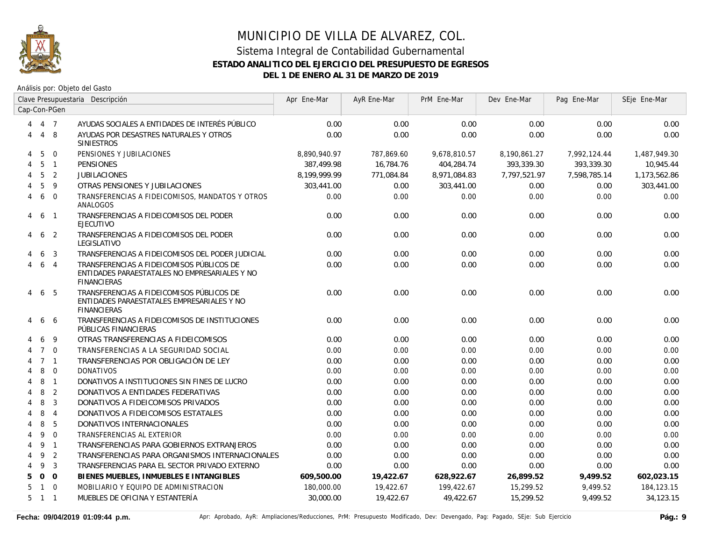

|   |                |                          | Clave Presupuestaria Descripción                                                                                 | Apr Ene-Mar  | AyR Ene-Mar | PrM Ene-Mar  | Dev Ene-Mar  | Pag Ene-Mar  | SEje Ene-Mar |
|---|----------------|--------------------------|------------------------------------------------------------------------------------------------------------------|--------------|-------------|--------------|--------------|--------------|--------------|
|   |                | Cap-Con-PGen             |                                                                                                                  |              |             |              |              |              |              |
| 4 | 4 7            |                          | AYUDAS SOCIALES A ENTIDADES DE INTERÉS PÚBLICO                                                                   | 0.00         | 0.00        | 0.00         | 0.00         | 0.00         | 0.00         |
| 4 | $\overline{4}$ | 8                        | AYUDAS POR DESASTRES NATURALES Y OTROS<br><b>SINIESTROS</b>                                                      | 0.00         | 0.00        | 0.00         | 0.00         | 0.00         | 0.00         |
| 4 | 5              | $\mathbf{0}$             | PENSIONES Y JUBILACIONES                                                                                         | 8.890.940.97 | 787,869.60  | 9,678,810.57 | 8,190,861.27 | 7,992,124.44 | 1,487,949.30 |
| 4 | 5              | $\overline{1}$           | <b>PENSIONES</b>                                                                                                 | 387.499.98   | 16,784.76   | 404,284.74   | 393,339.30   | 393,339.30   | 10,945.44    |
| 4 | 5              | 2                        | <b>JUBILACIONES</b>                                                                                              | 8.199.999.99 | 771,084.84  | 8,971,084.83 | 7,797,521.97 | 7,598,785.14 | 1,173,562.86 |
|   | 5              | 9                        | OTRAS PENSIONES Y JUBILACIONES                                                                                   | 303,441.00   | 0.00        | 303,441.00   | 0.00         | 0.00         | 303,441.00   |
| 4 | 6              | $\Omega$                 | TRANSFERENCIAS A FIDEICOMISOS, MANDATOS Y OTROS<br>ANALOGOS                                                      | 0.00         | 0.00        | 0.00         | 0.00         | 0.00         | 0.00         |
| 4 | 6              | $\overline{\phantom{0}}$ | TRANSFERENCIAS A FIDEICOMISOS DEL PODER<br><b>EJECUTIVO</b>                                                      | 0.00         | 0.00        | 0.00         | 0.00         | 0.00         | 0.00         |
| 4 | 6              | 2                        | TRANSFERENCIAS A FIDEICOMISOS DEL PODER<br>LEGISLATIVO                                                           | 0.00         | 0.00        | 0.00         | 0.00         | 0.00         | 0.00         |
|   | 6              | 3                        | TRANSFERENCIAS A FIDEICOMISOS DEL PODER JUDICIAL                                                                 | 0.00         | 0.00        | 0.00         | 0.00         | 0.00         | 0.00         |
| 4 | 6              | $\overline{4}$           | TRANSFERENCIAS A FIDEICOMISOS PÚBLICOS DE<br>ENTIDADES PARAESTATALES NO EMPRESARIALES Y NO<br><b>FINANCIERAS</b> | 0.00         | 0.00        | 0.00         | 0.00         | 0.00         | 0.00         |
| 4 |                | 6 5                      | TRANSFERENCIAS A FIDEICOMISOS PÚBLICOS DE<br>ENTIDADES PARAESTATALES EMPRESARIALES Y NO<br><b>FINANCIERAS</b>    | 0.00         | 0.00        | 0.00         | 0.00         | 0.00         | 0.00         |
|   | 6              | 6                        | TRANSFERENCIAS A FIDEICOMISOS DE INSTITUCIONES<br>PÚBLICAS FINANCIERAS                                           | 0.00         | 0.00        | 0.00         | 0.00         | 0.00         | 0.00         |
|   | 6              | 9                        | OTRAS TRANSFERENCIAS A FIDEICOMISOS                                                                              | 0.00         | 0.00        | 0.00         | 0.00         | 0.00         | 0.00         |
| Δ |                | $7\quad0$                | TRANSFERENCIAS A LA SEGURIDAD SOCIAL                                                                             | 0.00         | 0.00        | 0.00         | 0.00         | 0.00         | 0.00         |
|   |                | $7 \quad 1$              | TRANSFERENCIAS POR OBLIGACIÓN DE LEY                                                                             | 0.00         | 0.00        | 0.00         | 0.00         | 0.00         | 0.00         |
|   | 8              | $\Omega$                 | <b>DONATIVOS</b>                                                                                                 | 0.00         | 0.00        | 0.00         | 0.00         | 0.00         | 0.00         |
|   | 8              | $\overline{1}$           | DONATIVOS A INSTITUCIONES SIN FINES DE LUCRO                                                                     | 0.00         | 0.00        | 0.00         | 0.00         | 0.00         | 0.00         |
|   | 8              | 2                        | DONATIVOS A ENTIDADES FEDERATIVAS                                                                                | 0.00         | 0.00        | 0.00         | 0.00         | 0.00         | 0.00         |
|   | 8              | 3                        | DONATIVOS A FIDEICOMISOS PRIVADOS                                                                                | 0.00         | 0.00        | 0.00         | 0.00         | 0.00         | 0.00         |
| 4 | 8              | $\overline{4}$           | DONATIVOS A FIDEICOMISOS ESTATALES                                                                               | 0.00         | 0.00        | 0.00         | 0.00         | 0.00         | 0.00         |
| 4 | 8              | 5                        | DONATIVOS INTERNACIONALES                                                                                        | 0.00         | 0.00        | 0.00         | 0.00         | 0.00         | 0.00         |
| 4 | 9              | $\Omega$                 | TRANSFERENCIAS AL EXTERIOR                                                                                       | 0.00         | 0.00        | 0.00         | 0.00         | 0.00         | 0.00         |
| 4 | 9              | $\overline{1}$           | TRANSFERENCIAS PARA GOBIERNOS EXTRANJEROS                                                                        | 0.00         | 0.00        | 0.00         | 0.00         | 0.00         | 0.00         |
| 4 | 9              | 2                        | TRANSFERENCIAS PARA ORGANISMOS INTERNACIONALES                                                                   | 0.00         | 0.00        | 0.00         | 0.00         | 0.00         | 0.00         |
| 4 | 9              | $\overline{3}$           | TRANSFERENCIAS PARA EL SECTOR PRIVADO EXTERNO                                                                    | 0.00         | 0.00        | 0.00         | 0.00         | 0.00         | 0.00         |
| 5 |                | 0 <sub>0</sub>           | BIENES MUEBLES, INMUEBLES E INTANGIBLES                                                                          | 609,500.00   | 19,422.67   | 628,922.67   | 26,899.52    | 9,499.52     | 602,023.15   |
| 5 |                | $1 \quad 0$              | MOBILIARIO Y EQUIPO DE ADMINISTRACION                                                                            | 180,000.00   | 19,422.67   | 199,422.67   | 15,299.52    | 9,499.52     | 184,123.15   |
| 5 | $1 \quad 1$    |                          | MUEBLES DE OFICINA Y ESTANTERÍA                                                                                  | 30,000.00    | 19,422.67   | 49,422.67    | 15,299.52    | 9.499.52     | 34,123.15    |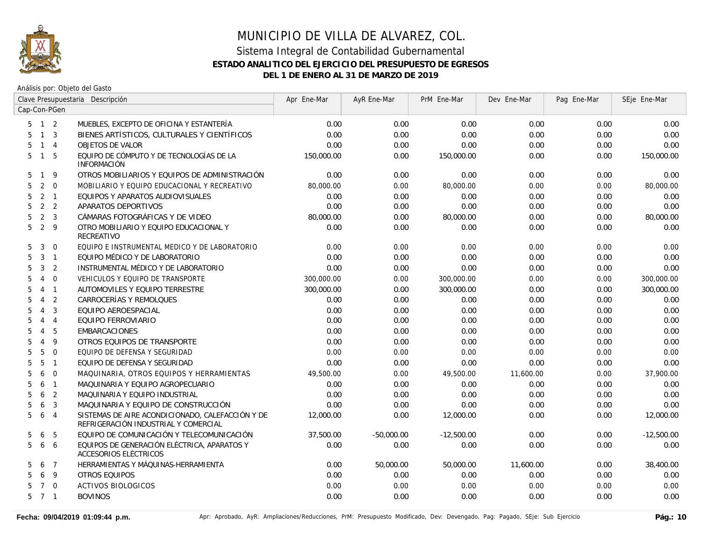

|                     |                |                     | Clave Presupuestaria Descripción                                                         | Apr Ene-Mar | AyR Ene-Mar  | PrM Ene-Mar  | Dev Ene-Mar | Pag Ene-Mar | SEje Ene-Mar |
|---------------------|----------------|---------------------|------------------------------------------------------------------------------------------|-------------|--------------|--------------|-------------|-------------|--------------|
| Cap-Con-PGen        |                |                     |                                                                                          |             |              |              |             |             |              |
| $5 \quad 1 \quad 2$ |                |                     | MUEBLES, EXCEPTO DE OFICINA Y ESTANTERÍA                                                 | 0.00        | 0.00         | 0.00         | 0.00        | 0.00        | 0.00         |
| 5                   | $1 \quad 3$    |                     | BIENES ARTÍSTICOS, CULTURALES Y CIENTÍFICOS                                              | 0.00        | 0.00         | 0.00         | 0.00        | 0.00        | 0.00         |
| 5                   | $\mathbf{1}$   | $\overline{4}$      | OBJETOS DE VALOR                                                                         | 0.00        | 0.00         | 0.00         | 0.00        | 0.00        | 0.00         |
| 5                   | $\overline{1}$ | 5                   | EQUIPO DE CÓMPUTO Y DE TECNOLOGÍAS DE LA<br><b>INFORMACIÓN</b>                           | 150,000.00  | 0.00         | 150,000.00   | 0.00        | 0.00        | 150,000.00   |
| 5                   | $\mathbf 1$    | 9                   | OTROS MOBILIARIOS Y EQUIPOS DE ADMINISTRACIÓN                                            | 0.00        | 0.00         | 0.00         | 0.00        | 0.00        | 0.00         |
| 5                   | 2              | $\Omega$            | MOBILIARIO Y EQUIPO EDUCACIONAL Y RECREATIVO                                             | 80,000.00   | 0.00         | 80,000.00    | 0.00        | 0.00        | 80,000.00    |
| 5                   | $2 \quad 1$    |                     | EQUIPOS Y APARATOS AUDIOVISUALES                                                         | 0.00        | 0.00         | 0.00         | 0.00        | 0.00        | 0.00         |
| 5                   | 2 <sub>2</sub> |                     | APARATOS DEPORTIVOS                                                                      | 0.00        | 0.00         | 0.00         | 0.00        | 0.00        | 0.00         |
| 5                   | $\overline{2}$ | $\overline{3}$      | CÁMARAS FOTOGRÁFICAS Y DE VIDEO                                                          | 80,000.00   | 0.00         | 80,000.00    | 0.00        | 0.00        | 80,000.00    |
| 5                   | 2              | 9                   | OTRO MOBILIARIO Y EQUIPO EDUCACIONAL Y<br>RECREATIVO                                     | 0.00        | 0.00         | 0.00         | 0.00        | 0.00        | 0.00         |
| 5                   | 3              | $\Omega$            | EQUIPO E INSTRUMENTAL MEDICO Y DE LABORATORIO                                            | 0.00        | 0.00         | 0.00         | 0.00        | 0.00        | 0.00         |
| 5                   | 3              | $\overline{1}$      | EQUIPO MÉDICO Y DE LABORATORIO                                                           | 0.00        | 0.00         | 0.00         | 0.00        | 0.00        | 0.00         |
| 5                   | 3              | 2                   | INSTRUMENTAL MÉDICO Y DE LABORATORIO                                                     | 0.00        | 0.00         | 0.00         | 0.00        | 0.00        | 0.00         |
| 5                   | $\overline{4}$ | $\mathbf 0$         | VEHICULOS Y EQUIPO DE TRANSPORTE                                                         | 300,000.00  | 0.00         | 300,000.00   | 0.00        | 0.00        | 300,000.00   |
| 5                   | $\overline{4}$ | $\overline{1}$      | AUTOMOVILES Y EQUIPO TERRESTRE                                                           | 300,000.00  | 0.00         | 300,000.00   | 0.00        | 0.00        | 300,000.00   |
| 5                   | $\overline{4}$ | 2                   | CARROCERÍAS Y REMOLQUES                                                                  | 0.00        | 0.00         | 0.00         | 0.00        | 0.00        | 0.00         |
| 5                   | $\overline{4}$ | $\mathbf{3}$        | EQUIPO AEROESPACIAL                                                                      | 0.00        | 0.00         | 0.00         | 0.00        | 0.00        | 0.00         |
| 5                   | $\overline{4}$ | $\overline{4}$      | EQUIPO FERROVIARIO                                                                       | 0.00        | 0.00         | 0.00         | 0.00        | 0.00        | 0.00         |
| 5                   | $\overline{4}$ | 5                   | <b>EMBARCACIONES</b>                                                                     | 0.00        | 0.00         | 0.00         | 0.00        | 0.00        | 0.00         |
| 5                   | $\overline{4}$ | 9                   | OTROS EQUIPOS DE TRANSPORTE                                                              | 0.00        | 0.00         | 0.00         | 0.00        | 0.00        | 0.00         |
| 5                   | 5              | $\Omega$            | EQUIPO DE DEFENSA Y SEGURIDAD                                                            | 0.00        | 0.00         | 0.00         | 0.00        | 0.00        | 0.00         |
| 5                   | 5              | $\overline{1}$      | EQUIPO DE DEFENSA Y SEGURIDAD                                                            | 0.00        | 0.00         | 0.00         | 0.00        | 0.00        | 0.00         |
| 5                   | 6              | $\overline{0}$      | MAQUINARIA, OTROS EQUIPOS Y HERRAMIENTAS                                                 | 49,500.00   | 0.00         | 49,500.00    | 11,600.00   | 0.00        | 37,900.00    |
| 5                   | 6              | $\overline{1}$      | MAQUINARIA Y EQUIPO AGROPECUARIO                                                         | 0.00        | 0.00         | 0.00         | 0.00        | 0.00        | 0.00         |
| 5                   | 6              | $\overline{2}$      | MAQUINARIA Y EQUIPO INDUSTRIAL                                                           | 0.00        | 0.00         | 0.00         | 0.00        | 0.00        | 0.00         |
| 5                   | 6              | 3                   | MAQUINARIA Y EQUIPO DE CONSTRUCCIÓN                                                      | 0.00        | 0.00         | 0.00         | 0.00        | 0.00        | 0.00         |
| 5                   | 6              | $\overline{4}$      | SISTEMAS DE AIRE ACONDICIONADO, CALEFACCIÓN Y DE<br>REFRIGERACIÓN INDUSTRIAL Y COMERCIAL | 12,000.00   | 0.00         | 12,000.00    | 0.00        | 0.00        | 12,000.00    |
| 5                   | 6              | 5                   | EQUIPO DE COMUNICACIÓN Y TELECOMUNICACIÓN                                                | 37,500.00   | $-50,000.00$ | $-12,500.00$ | 0.00        | 0.00        | $-12,500.00$ |
| 5                   | 6              | $\ddot{\mathbf{6}}$ | EQUIPOS DE GENERACIÓN ELÉCTRICA, APARATOS Y<br>ACCESORIOS ELÉCTRICOS                     | 0.00        | 0.00         | 0.00         | 0.00        | 0.00        | 0.00         |
| 5                   | 6              | $\overline{7}$      | HERRAMIENTAS Y MÁQUINAS-HERRAMIENTA                                                      | 0.00        | 50,000.00    | 50,000.00    | 11,600.00   | 0.00        | 38,400.00    |
| 5                   | 6              | 9                   | <b>OTROS EQUIPOS</b>                                                                     | 0.00        | 0.00         | 0.00         | 0.00        | 0.00        | 0.00         |
| 5                   | $\overline{7}$ | $\overline{0}$      | <b>ACTIVOS BIOLOGICOS</b>                                                                | 0.00        | 0.00         | 0.00         | 0.00        | 0.00        | 0.00         |
| 5 7 1               |                |                     | <b>BOVINOS</b>                                                                           | 0.00        | 0.00         | 0.00         | 0.00        | 0.00        | 0.00         |
|                     |                |                     |                                                                                          |             |              |              |             |             |              |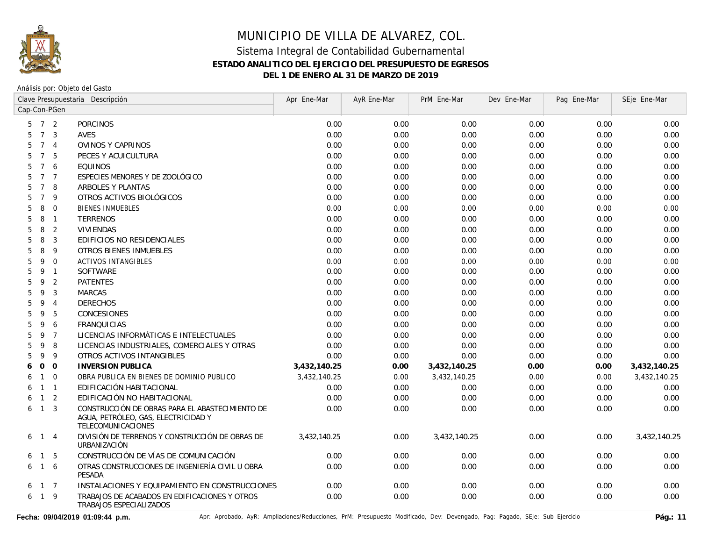

Análisis por: Objeto del Gasto

|              |                     |                | Clave Presupuestaria Descripción                                                                             | Apr Ene-Mar  | AyR Ene-Mar | PrM Ene-Mar  | Dev Ene-Mar | Pag Ene-Mar | SEje Ene-Mar |
|--------------|---------------------|----------------|--------------------------------------------------------------------------------------------------------------|--------------|-------------|--------------|-------------|-------------|--------------|
| Cap-Con-PGen |                     |                |                                                                                                              |              |             |              |             |             |              |
|              | $5 \quad 7 \quad 2$ |                | <b>PORCINOS</b>                                                                                              | 0.00         | 0.00        | 0.00         | 0.00        | 0.00        | 0.00         |
| 5            | $7^{\circ}$         | 3              | <b>AVES</b>                                                                                                  | 0.00         | 0.00        | 0.00         | 0.00        | 0.00        | 0.00         |
| 5            | $7^{\circ}$         | $\overline{4}$ | <b>OVINOS Y CAPRINOS</b>                                                                                     | 0.00         | 0.00        | 0.00         | 0.00        | 0.00        | 0.00         |
| 5            | $7\overline{ }$     | 5              | PECES Y ACUICULTURA                                                                                          | 0.00         | 0.00        | 0.00         | 0.00        | 0.00        | 0.00         |
| 5            | 7 6                 |                | <b>EQUINOS</b>                                                                                               | 0.00         | 0.00        | 0.00         | 0.00        | 0.00        | 0.00         |
| 5            | $7\overline{ }$     | $\overline{7}$ | ESPECIES MENORES Y DE ZOOLÓGICO                                                                              | 0.00         | 0.00        | 0.00         | 0.00        | 0.00        | 0.00         |
| 5            | $\overline{7}$      | 8              | ARBOLES Y PLANTAS                                                                                            | 0.00         | 0.00        | 0.00         | 0.00        | 0.00        | 0.00         |
| 5            | $\overline{7}$      | 9              | OTROS ACTIVOS BIOLÓGICOS                                                                                     | 0.00         | 0.00        | 0.00         | 0.00        | 0.00        | 0.00         |
| 5            | 8                   | $\overline{0}$ | <b>BIENES INMUEBLES</b>                                                                                      | 0.00         | 0.00        | 0.00         | 0.00        | 0.00        | 0.00         |
| 5            | 8                   | $\mathbf{1}$   | <b>TERRENOS</b>                                                                                              | 0.00         | 0.00        | 0.00         | 0.00        | 0.00        | 0.00         |
| 5            | 8                   | 2              | <b>VIVIENDAS</b>                                                                                             | 0.00         | 0.00        | 0.00         | 0.00        | 0.00        | 0.00         |
| 5            | 8                   | 3              | EDIFICIOS NO RESIDENCIALES                                                                                   | 0.00         | 0.00        | 0.00         | 0.00        | 0.00        | 0.00         |
| 5            | 8                   | 9              | <b>OTROS BIENES INMUEBLES</b>                                                                                | 0.00         | 0.00        | 0.00         | 0.00        | 0.00        | 0.00         |
| 5            | 9                   | $\Omega$       | <b>ACTIVOS INTANGIBLES</b>                                                                                   | 0.00         | 0.00        | 0.00         | 0.00        | 0.00        | 0.00         |
| 5            | 9                   | $\mathbf{1}$   | SOFTWARE                                                                                                     | 0.00         | 0.00        | 0.00         | 0.00        | 0.00        | 0.00         |
| 5            | 9                   | 2              | <b>PATENTES</b>                                                                                              | 0.00         | 0.00        | 0.00         | 0.00        | 0.00        | 0.00         |
| 5            | 9                   | 3              | <b>MARCAS</b>                                                                                                | 0.00         | 0.00        | 0.00         | 0.00        | 0.00        | 0.00         |
| 5            | 9                   | $\overline{4}$ | <b>DERECHOS</b>                                                                                              | 0.00         | 0.00        | 0.00         | 0.00        | 0.00        | 0.00         |
| 5            | 9                   | 5              | CONCESIONES                                                                                                  | 0.00         | 0.00        | 0.00         | 0.00        | 0.00        | 0.00         |
| 5            | 9                   | 6              | <b>FRANQUICIAS</b>                                                                                           | 0.00         | 0.00        | 0.00         | 0.00        | 0.00        | 0.00         |
| 5            | 9                   | $\overline{7}$ | LICENCIAS INFORMÁTICAS E INTELECTUALES                                                                       | 0.00         | 0.00        | 0.00         | 0.00        | 0.00        | 0.00         |
| 5            | 9                   | 8              | LICENCIAS INDUSTRIALES, COMERCIALES Y OTRAS                                                                  | 0.00         | 0.00        | 0.00         | 0.00        | 0.00        | 0.00         |
| 5            | 9                   | 9              | OTROS ACTIVOS INTANGIBLES                                                                                    | 0.00         | 0.00        | 0.00         | 0.00        | 0.00        | 0.00         |
| 6            | $\mathbf 0$         | $\overline{0}$ | <b>INVERSION PUBLICA</b>                                                                                     | 3,432,140.25 | 0.00        | 3,432,140.25 | 0.00        | 0.00        | 3,432,140.25 |
| 6            | $\mathbf{1}$        | $\Omega$       | OBRA PUBLICA EN BIENES DE DOMINIO PUBLICO                                                                    | 3,432,140.25 | 0.00        | 3,432,140.25 | 0.00        | 0.00        | 3,432,140.25 |
| 6            | $\overline{1}$      | $\overline{1}$ | EDIFICACIÓN HABITACIONAL                                                                                     | 0.00         | 0.00        | 0.00         | 0.00        | 0.00        | 0.00         |
| 6            | $\mathbf{1}$        | 2              | EDIFICACIÓN NO HABITACIONAL                                                                                  | 0.00         | 0.00        | 0.00         | 0.00        | 0.00        | 0.00         |
| 6            | $\mathbf{1}$        | 3              | CONSTRUCCIÓN DE OBRAS PARA EL ABASTECIMIENTO DE<br>AGUA, PETRÓLEO, GAS, ELECTRICIDAD Y<br>TELECOMUNICACIONES | 0.00         | 0.00        | 0.00         | 0.00        | 0.00        | 0.00         |
| 6            | $\mathbf{1}$        | $\overline{4}$ | DIVISIÓN DE TERRENOS Y CONSTRUCCIÓN DE OBRAS DE<br>URBANIZACIÓN                                              | 3.432.140.25 | 0.00        | 3,432,140.25 | 0.00        | 0.00        | 3,432,140.25 |
| 6            | $\mathbf{1}$        | 5              | CONSTRUCCIÓN DE VÍAS DE COMUNICACIÓN                                                                         | 0.00         | 0.00        | 0.00         | 0.00        | 0.00        | 0.00         |
| 6            | $1\quad6$           |                | OTRAS CONSTRUCCIONES DE INGENIERÍA CIVIL U OBRA<br>PESADA                                                    | 0.00         | 0.00        | 0.00         | 0.00        | 0.00        | 0.00         |
| 6            | $1 \quad 7$         |                | INSTALACIONES Y EQUIPAMIENTO EN CONSTRUCCIONES                                                               | 0.00         | 0.00        | 0.00         | 0.00        | 0.00        | 0.00         |
| 6            | $1 \quad 9$         |                | TRABAJOS DE ACABADOS EN EDIFICACIONES Y OTROS<br>TRABAJOS ESPECIALIZADOS                                     | 0.00         | 0.00        | 0.00         | 0.00        | 0.00        | 0.00         |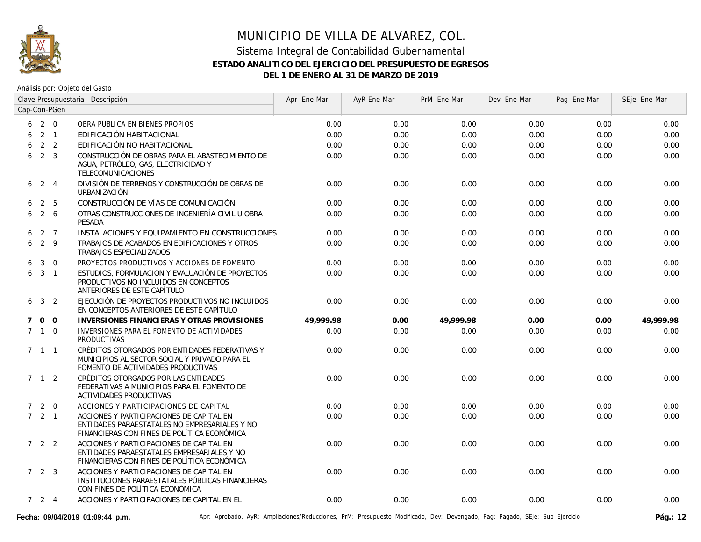

#### Análisis por: Objeto del Gasto

|             | Clave Presupuestaria Descripción |                  |                                                                                                                                          | Apr Ene-Mar | AyR Ene-Mar | PrM Ene-Mar | Dev Ene-Mar | Pag Ene-Mar | SEje Ene-Mar |
|-------------|----------------------------------|------------------|------------------------------------------------------------------------------------------------------------------------------------------|-------------|-------------|-------------|-------------|-------------|--------------|
|             |                                  | Cap-Con-PGen     |                                                                                                                                          |             |             |             |             |             |              |
|             | 620                              |                  | OBRA PUBLICA EN BIENES PROPIOS                                                                                                           | 0.00        | 0.00        | 0.00        | 0.00        | 0.00        | 0.00         |
| 6           |                                  | 2 <sub>1</sub>   | EDIFICACIÓN HABITACIONAL                                                                                                                 | 0.00        | 0.00        | 0.00        | 0.00        | 0.00        | 0.00         |
| 6           |                                  | 2 <sub>2</sub>   | EDIFICACIÓN NO HABITACIONAL                                                                                                              | 0.00        | 0.00        | 0.00        | 0.00        | 0.00        | 0.00         |
| 6           | 2 <sup>3</sup>                   |                  | CONSTRUCCIÓN DE OBRAS PARA EL ABASTECIMIENTO DE<br>AGUA, PETRÓLEO, GAS, ELECTRICIDAD Y<br>TELECOMUNICACIONES                             | 0.00        | 0.00        | 0.00        | 0.00        | 0.00        | 0.00         |
| 6           | $2 \quad 4$                      |                  | DIVISIÓN DE TERRENOS Y CONSTRUCCIÓN DE OBRAS DE<br>URBANIZACIÓN                                                                          | 0.00        | 0.00        | 0.00        | 0.00        | 0.00        | 0.00         |
| 6           | $\overline{2}$                   | 5                | CONSTRUCCIÓN DE VÍAS DE COMUNICACIÓN                                                                                                     | 0.00        | 0.00        | 0.00        | 0.00        | 0.00        | 0.00         |
| 6           | 2 6                              |                  | OTRAS CONSTRUCCIONES DE INGENIERÍA CIVIL U OBRA<br><b>PESADA</b>                                                                         | 0.00        | 0.00        | 0.00        | 0.00        | 0.00        | 0.00         |
| 6           |                                  | $2 \overline{7}$ | INSTALACIONES Y EQUIPAMIENTO EN CONSTRUCCIONES                                                                                           | 0.00        | 0.00        | 0.00        | 0.00        | 0.00        | 0.00         |
| 6           | $2 \quad 9$                      |                  | TRABAJOS DE ACABADOS EN EDIFICACIONES Y OTROS<br><b>TRABAJOS ESPECIALIZADOS</b>                                                          | 0.00        | 0.00        | 0.00        | 0.00        | 0.00        | 0.00         |
|             | $\mathbf{3}$                     | $\overline{0}$   | PROYECTOS PRODUCTIVOS Y ACCIONES DE FOMENTO                                                                                              | 0.00        | 0.00        | 0.00        | 0.00        | 0.00        | 0.00         |
| 6           | 3 <sup>1</sup>                   |                  | ESTUDIOS, FORMULACIÓN Y EVALUACIÓN DE PROYECTOS<br>PRODUCTIVOS NO INCLUIDOS EN CONCEPTOS<br>ANTERIORES DE ESTE CAPÍTULO                  | 0.00        | 0.00        | 0.00        | 0.00        | 0.00        | 0.00         |
| 6           | 3 <sub>2</sub>                   |                  | EJECUCIÓN DE PROYECTOS PRODUCTIVOS NO INCLUIDOS<br>EN CONCEPTOS ANTERIORES DE ESTE CAPÍTULO                                              | 0.00        | 0.00        | 0.00        | 0.00        | 0.00        | 0.00         |
| 7           | $0\quad 0$                       |                  | <b>INVERSIONES FINANCIERAS Y OTRAS PROVISIONES</b>                                                                                       | 49,999.98   | 0.00        | 49,999.98   | 0.00        | 0.00        | 49,999.98    |
|             | $7 \quad 1 \quad 0$              |                  | INVERSIONES PARA EL FOMENTO DE ACTIVIDADES<br><b>PRODUCTIVAS</b>                                                                         | 0.00        | 0.00        | 0.00        | 0.00        | 0.00        | 0.00         |
|             | $7 \t1 \t1$                      |                  | CRÉDITOS OTORGADOS POR ENTIDADES FEDERATIVAS Y<br>MUNICIPIOS AL SECTOR SOCIAL Y PRIVADO PARA EL<br>FOMENTO DE ACTIVIDADES PRODUCTIVAS    | 0.00        | 0.00        | 0.00        | 0.00        | 0.00        | 0.00         |
|             | $7 \quad 1 \quad 2$              |                  | CRÉDITOS OTORGADOS POR LAS ENTIDADES<br>FEDERATIVAS A MUNICIPIOS PARA EL FOMENTO DE<br><b>ACTIVIDADES PRODUCTIVAS</b>                    | 0.00        | 0.00        | 0.00        | 0.00        | 0.00        | 0.00         |
| $7^{\circ}$ | $2\quad 0$                       |                  | ACCIONES Y PARTICIPACIONES DE CAPITAL                                                                                                    | 0.00        | 0.00        | 0.00        | 0.00        | 0.00        | 0.00         |
|             | 721                              |                  | ACCIONES Y PARTICIPACIONES DE CAPITAL EN<br>ENTIDADES PARAESTATALES NO EMPRESARIALES Y NO<br>FINANCIERAS CON FINES DE POLÍTICA ECONÓMICA | 0.00        | 0.00        | 0.00        | 0.00        | 0.00        | 0.00         |
|             | $7 \quad 2 \quad 2$              |                  | ACCIONES Y PARTICIPACIONES DE CAPITAL EN<br>ENTIDADES PARAESTATALES EMPRESARIALES Y NO<br>FINANCIERAS CON FINES DE POLÍTICA ECONÓMICA    | 0.00        | 0.00        | 0.00        | 0.00        | 0.00        | 0.00         |
|             | 723                              |                  | ACCIONES Y PARTICIPACIONES DE CAPITAL EN<br>INSTITUCIONES PARAESTATALES PÚBLICAS FINANCIERAS<br>CON FINES DE POLÍTICA ECONÓMICA          | 0.00        | 0.00        | 0.00        | 0.00        | 0.00        | 0.00         |
|             | $7 \quad 2 \quad 4$              |                  | ACCIONES Y PARTICIPACIONES DE CAPITAL EN EL                                                                                              | 0.00        | 0.00        | 0.00        | 0.00        | 0.00        | 0.00         |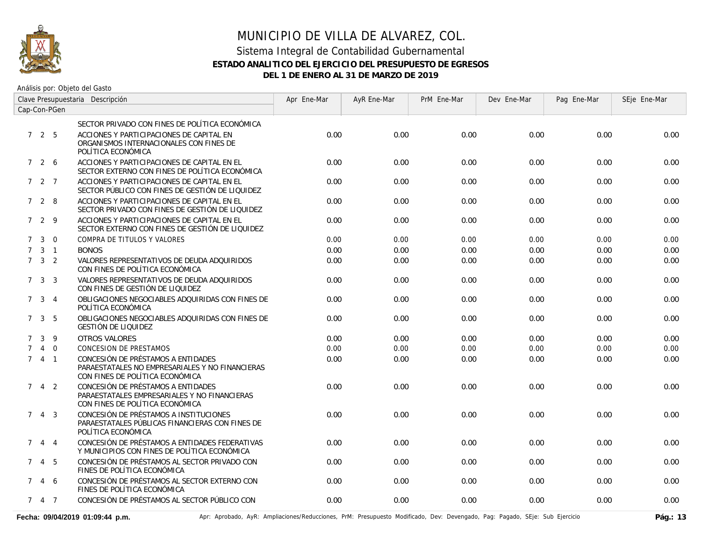

Análisis por: Objeto del Gasto

| Clave Presupuestaria Descripción |                     |                |                                                                                                                          | Apr Ene-Mar | AyR Ene-Mar | PrM Ene-Mar | Dev Ene-Mar | Pag Ene-Mar | SEje Ene-Mar |
|----------------------------------|---------------------|----------------|--------------------------------------------------------------------------------------------------------------------------|-------------|-------------|-------------|-------------|-------------|--------------|
|                                  | Cap-Con-PGen        |                |                                                                                                                          |             |             |             |             |             |              |
|                                  |                     |                | SECTOR PRIVADO CON FINES DE POLÍTICA ECONÓMICA                                                                           |             |             |             |             |             |              |
|                                  | 725                 |                | ACCIONES Y PARTICIPACIONES DE CAPITAL EN<br>ORGANISMOS INTERNACIONALES CON FINES DE<br>POLÍTICA ECONÓMICA                | 0.00        | 0.00        | 0.00        | 0.00        | 0.00        | 0.00         |
|                                  | 7 2 6               |                | ACCIONES Y PARTICIPACIONES DE CAPITAL EN EL<br>SECTOR EXTERNO CON FINES DE POLÍTICA ECONÓMICA                            | 0.00        | 0.00        | 0.00        | 0.00        | 0.00        | 0.00         |
|                                  | 7 2 7               |                | ACCIONES Y PARTICIPACIONES DE CAPITAL EN EL<br>SECTOR PÚBLICO CON FINES DE GESTIÓN DE LIQUIDEZ                           | 0.00        | 0.00        | 0.00        | 0.00        | 0.00        | 0.00         |
|                                  | 728                 |                | ACCIONES Y PARTICIPACIONES DE CAPITAL EN EL<br>SECTOR PRIVADO CON FINES DE GESTIÓN DE LIQUIDEZ                           | 0.00        | 0.00        | 0.00        | 0.00        | 0.00        | 0.00         |
|                                  | 729                 |                | ACCIONES Y PARTICIPACIONES DE CAPITAL EN EL<br>SECTOR EXTERNO CON FINES DE GESTIÓN DE LIQUIDEZ                           | 0.00        | 0.00        | 0.00        | 0.00        | 0.00        | 0.00         |
| $7^{\circ}$                      | $\mathbf{3}$        | $\overline{0}$ | COMPRA DE TITULOS Y VALORES                                                                                              | 0.00        | 0.00        | 0.00        | 0.00        | 0.00        | 0.00         |
| $7^{\circ}$                      |                     | $3 \quad 1$    | <b>BONOS</b>                                                                                                             | 0.00        | 0.00        | 0.00        | 0.00        | 0.00        | 0.00         |
|                                  | $7 \quad 3 \quad 2$ |                | VALORES REPRESENTATIVOS DE DEUDA ADQUIRIDOS<br>CON FINES DE POLÍTICA ECONÓMICA                                           | 0.00        | 0.00        | 0.00        | 0.00        | 0.00        | 0.00         |
|                                  | $\mathbf{3}$<br>7   | - 3            | VALORES REPRESENTATIVOS DE DEUDA ADQUIRIDOS<br>CON FINES DE GESTIÓN DE LIQUIDEZ                                          | 0.00        | 0.00        | 0.00        | 0.00        | 0.00        | 0.00         |
|                                  | $7 \quad 3 \quad 4$ |                | OBLIGACIONES NEGOCIABLES ADQUIRIDAS CON FINES DE<br>POLÍTICA ECONÓMICA                                                   | 0.00        | 0.00        | 0.00        | 0.00        | 0.00        | 0.00         |
| $7^{\circ}$                      |                     | 3 <sub>5</sub> | OBLIGACIONES NEGOCIABLES ADQUIRIDAS CON FINES DE<br><b>GESTIÓN DE LIQUIDEZ</b>                                           | 0.00        | 0.00        | 0.00        | 0.00        | 0.00        | 0.00         |
| 7                                | $\mathbf{3}$        | 9              | <b>OTROS VALORES</b>                                                                                                     | 0.00        | 0.00        | 0.00        | 0.00        | 0.00        | 0.00         |
| $\overline{7}$                   | $\overline{4}$      | $\overline{0}$ | CONCESION DE PRESTAMOS                                                                                                   | 0.00        | 0.00        | 0.00        | 0.00        | 0.00        | 0.00         |
|                                  | $741$               |                | CONCESIÓN DE PRÉSTAMOS A ENTIDADES<br>PARAESTATALES NO EMPRESARIALES Y NO FINANCIERAS<br>CON FINES DE POLÍTICA ECONÓMICA | 0.00        | 0.00        | 0.00        | 0.00        | 0.00        | 0.00         |
| $7^{\circ}$                      |                     | $4\quad 2$     | CONCESIÓN DE PRÉSTAMOS A ENTIDADES<br>PARAESTATALES EMPRESARIALES Y NO FINANCIERAS<br>CON FINES DE POLÍTICA ECONÓMICA    | 0.00        | 0.00        | 0.00        | 0.00        | 0.00        | 0.00         |
|                                  | 743                 |                | CONCESIÓN DE PRÉSTAMOS A INSTITUCIONES<br>PARAESTATALES PÚBLICAS FINANCIERAS CON FINES DE<br>POLÍTICA ECONÓMICA          | 0.00        | 0.00        | 0.00        | 0.00        | 0.00        | 0.00         |
| $7^{\circ}$                      |                     | 4 4            | CONCESIÓN DE PRÉSTAMOS A ENTIDADES FEDERATIVAS<br>Y MUNICIPIOS CON FINES DE POLÍTICA ECONÓMICA                           | 0.00        | 0.00        | 0.00        | 0.00        | 0.00        | 0.00         |
| $7^{\circ}$                      |                     | 4 5            | CONCESIÓN DE PRÉSTAMOS AL SECTOR PRIVADO CON<br>FINES DE POLÍTICA ECONÓMICA                                              | 0.00        | 0.00        | 0.00        | 0.00        | 0.00        | 0.00         |
|                                  | 7 4 6               |                | CONCESIÓN DE PRÉSTAMOS AL SECTOR EXTERNO CON<br>FINES DE POLÍTICA ECONÓMICA                                              | 0.00        | 0.00        | 0.00        | 0.00        | 0.00        | 0.00         |
|                                  | 7 4 7               |                | CONCESIÓN DE PRÉSTAMOS AL SECTOR PÚBLICO CON                                                                             | 0.00        | 0.00        | 0.00        | 0.00        | 0.00        | 0.00         |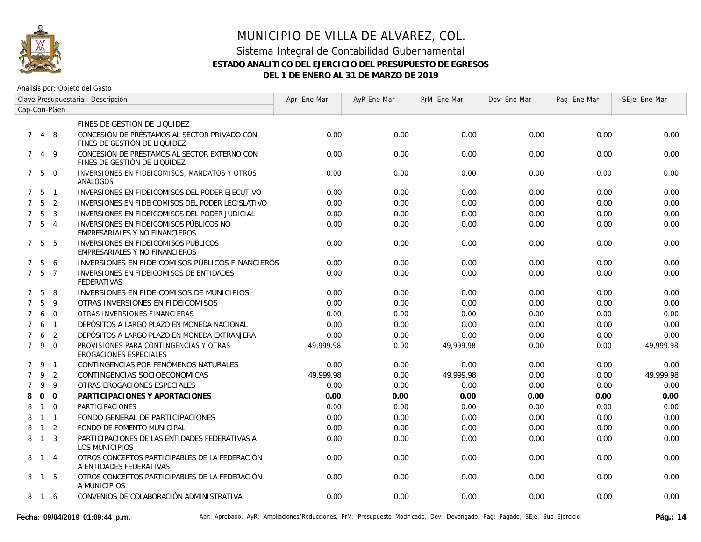

| Clave Presupuestaria Descripción |                   |                |                                                                              | Apr Ene-Mar | AyR Ene-Mar | PrM Ene-Mar | Dev Ene-Mar | Pag Ene-Mar | SEje Ene-Mar |
|----------------------------------|-------------------|----------------|------------------------------------------------------------------------------|-------------|-------------|-------------|-------------|-------------|--------------|
| Cap-Con-PGen                     |                   |                |                                                                              |             |             |             |             |             |              |
|                                  |                   |                | FINES DE GESTIÓN DE LIQUIDEZ                                                 |             |             |             |             |             |              |
| $7^{\circ}$                      |                   | 4 8            | CONCESIÓN DE PRÉSTAMOS AL SECTOR PRIVADO CON<br>FINES DE GESTIÓN DE LIQUIDEZ | 0.00        | 0.00        | 0.00        | 0.00        | 0.00        | 0.00         |
| $7^{\circ}$                      | $\overline{4}$    | 9              | CONCESIÓN DE PRÉSTAMOS AL SECTOR EXTERNO CON<br>FINES DE GESTIÓN DE LIQUIDEZ | 0.00        | 0.00        | 0.00        | 0.00        | 0.00        | 0.00         |
|                                  | $7\quad 5\quad 0$ |                | INVERSIONES EN FIDEICOMISOS, MANDATOS Y OTROS<br>ANALOGOS                    | 0.00        | 0.00        | 0.00        | 0.00        | 0.00        | 0.00         |
|                                  | 7 5               | $\overline{1}$ | INVERSIONES EN FIDEICOMISOS DEL PODER EJECUTIVO                              | 0.00        | 0.00        | 0.00        | 0.00        | 0.00        | 0.00         |
| $7^{\circ}$                      | $5\overline{)}$   | $\overline{2}$ | INVERSIONES EN FIDEICOMISOS DEL PODER LEGISLATIVO                            | 0.00        | 0.00        | 0.00        | 0.00        | 0.00        | 0.00         |
| $7^{\circ}$                      | 5                 | $\overline{3}$ | INVERSIONES EN FIDEICOMISOS DEL PODER JUDICIAL                               | 0.00        | 0.00        | 0.00        | 0.00        | 0.00        | 0.00         |
|                                  | 7 <sub>5</sub>    | $\overline{4}$ | INVERSIONES EN FIDEICOMISOS PÚBLICOS NO<br>EMPRESARIALES Y NO FINANCIEROS    | 0.00        | 0.00        | 0.00        | 0.00        | 0.00        | 0.00         |
|                                  | 7 <sub>5</sub>    | 5              | INVERSIONES EN FIDEICOMISOS PÚBLICOS<br>EMPRESARIALES Y NO FINANCIEROS       | 0.00        | 0.00        | 0.00        | 0.00        | 0.00        | 0.00         |
| 7                                | $5\overline{)}$   | 6              | INVERSIONES EN FIDEICOMISOS PÚBLICOS FINANCIEROS                             | 0.00        | 0.00        | 0.00        | 0.00        | 0.00        | 0.00         |
| $7^{\circ}$                      | 5                 | $\overline{7}$ | INVERSIONES EN FIDEICOMISOS DE ENTIDADES<br><b>FEDERATIVAS</b>               | 0.00        | 0.00        | 0.00        | 0.00        | 0.00        | 0.00         |
| $\mathcal{I}$                    | 5                 | 8              | INVERSIONES EN FIDEICOMISOS DE MUNICIPIOS                                    | 0.00        | 0.00        | 0.00        | 0.00        | 0.00        | 0.00         |
| $\overline{7}$                   | 5                 | 9              | OTRAS INVERSIONES EN FIDEICOMISOS                                            | 0.00        | 0.00        | 0.00        | 0.00        | 0.00        | 0.00         |
| $\overline{7}$                   | 6                 | $\overline{0}$ | OTRAS INVERSIONES FINANCIERAS                                                | 0.00        | 0.00        | 0.00        | 0.00        | 0.00        | 0.00         |
| $\overline{7}$                   | 6                 | $\overline{1}$ | DEPÓSITOS A LARGO PLAZO EN MONEDA NACIONAL                                   | 0.00        | 0.00        | 0.00        | 0.00        | 0.00        | 0.00         |
| $\overline{7}$                   | 6                 | 2              | DEPÓSITOS A LARGO PLAZO EN MONEDA EXTRANJERA                                 | 0.00        | 0.00        | 0.00        | 0.00        | 0.00        | 0.00         |
| $7^{\circ}$                      | 9                 | $\overline{0}$ | PROVISIONES PARA CONTINGENCIAS Y OTRAS<br>EROGACIONES ESPECIALES             | 49.999.98   | 0.00        | 49,999.98   | 0.00        | 0.00        | 49,999.98    |
|                                  | 7 9 1             |                | CONTINGENCIAS POR FENÓMENOS NATURALES                                        | 0.00        | 0.00        | 0.00        | 0.00        | 0.00        | 0.00         |
| $\overline{7}$                   | 9                 | $\overline{2}$ | CONTINGENCIAS SOCIOECONÓMICAS                                                | 49.999.98   | 0.00        | 49.999.98   | 0.00        | 0.00        | 49,999.98    |
| $\overline{7}$                   | 9                 | 9              | OTRAS EROGACIONES ESPECIALES                                                 | 0.00        | 0.00        | 0.00        | 0.00        | 0.00        | 0.00         |
| 8                                | $\mathbf{0}$      | $\overline{O}$ | PARTICIPACIONES Y APORTACIONES                                               | 0.00        | 0.00        | 0.00        | 0.00        | 0.00        | 0.00         |
| 8                                | $\mathbf{1}$      | $\Omega$       | PARTICIPACIONES                                                              | 0.00        | 0.00        | 0.00        | 0.00        | 0.00        | 0.00         |
| 8                                | $\mathbf{1}$      | $\overline{1}$ | FONDO GENERAL DE PARTICIPACIONES                                             | 0.00        | 0.00        | 0.00        | 0.00        | 0.00        | 0.00         |
| 8                                | $\mathbf{1}$      | 2              | FONDO DE FOMENTO MUNICIPAL                                                   | 0.00        | 0.00        | 0.00        | 0.00        | 0.00        | 0.00         |
| 8                                | $\overline{1}$    | 3              | PARTICIPACIONES DE LAS ENTIDADES FEDERATIVAS A<br><b>LOS MUNICIPIOS</b>      | 0.00        | 0.00        | 0.00        | 0.00        | 0.00        | 0.00         |
|                                  | 8 1 4             |                | OTROS CONCEPTOS PARTICIPABLES DE LA FEDERACIÓN<br>A ENTIDADES FEDERATIVAS    | 0.00        | 0.00        | 0.00        | 0.00        | 0.00        | 0.00         |
| 8                                | $\overline{1}$    | -5             | OTROS CONCEPTOS PARTICIPABLES DE LA FEDERACIÓN<br>A MUNICIPIOS               | 0.00        | 0.00        | 0.00        | 0.00        | 0.00        | 0.00         |
| 8                                | $\overline{1}$    | 6              | CONVENIOS DE COLABORACIÓN ADMINISTRATIVA                                     | 0.00        | 0.00        | 0.00        | 0.00        | 0.00        | 0.00         |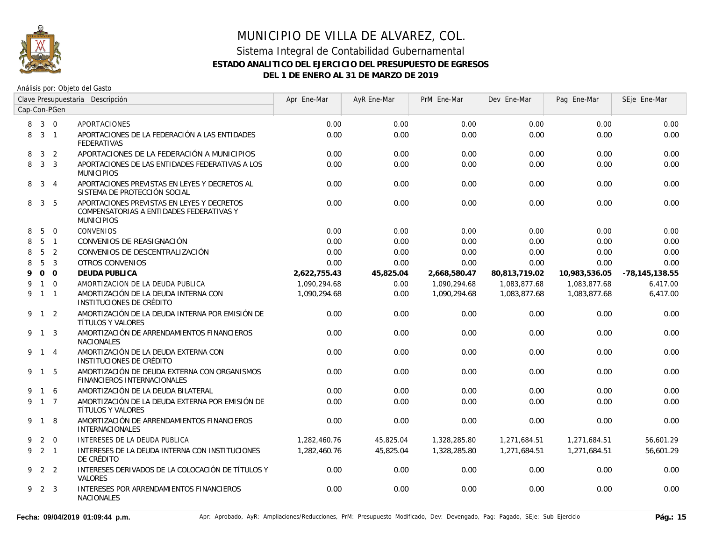

| Clave Presupuestaria Descripción |                |                |                                                                                                             | Apr Ene-Mar  | AyR Ene-Mar | PrM Ene-Mar  | Dev Ene-Mar   | Pag Ene-Mar   | SEje Ene-Mar       |
|----------------------------------|----------------|----------------|-------------------------------------------------------------------------------------------------------------|--------------|-------------|--------------|---------------|---------------|--------------------|
| Cap-Con-PGen                     |                |                |                                                                                                             |              |             |              |               |               |                    |
|                                  | 8 3 0          |                | <b>APORTACIONES</b>                                                                                         | 0.00         | 0.00        | 0.00         | 0.00          | 0.00          | 0.00               |
| 8                                | $3 \quad 1$    |                | APORTACIONES DE LA FEDERACIÓN A LAS ENTIDADES<br><b>FEDERATIVAS</b>                                         | 0.00         | 0.00        | 0.00         | 0.00          | 0.00          | 0.00               |
| 8                                | $\mathbf{3}$   | 2              | APORTACIONES DE LA FEDERACIÓN A MUNICIPIOS                                                                  | 0.00         | 0.00        | 0.00         | 0.00          | 0.00          | 0.00               |
| 8                                | 3 <sup>3</sup> |                | APORTACIONES DE LAS ENTIDADES FEDERATIVAS A LOS<br><b>MUNICIPIOS</b>                                        | 0.00         | 0.00        | 0.00         | 0.00          | 0.00          | 0.00               |
| 8                                | $\mathbf{3}$   | $\overline{4}$ | APORTACIONES PREVISTAS EN LEYES Y DECRETOS AL<br>SISTEMA DE PROTECCIÓN SOCIAL                               | 0.00         | 0.00        | 0.00         | 0.00          | 0.00          | 0.00               |
| 8                                | $\mathbf{3}$   | - 5            | APORTACIONES PREVISTAS EN LEYES Y DECRETOS<br>COMPENSATORIAS A ENTIDADES FEDERATIVAS Y<br><b>MUNICIPIOS</b> | 0.00         | 0.00        | 0.00         | 0.00          | 0.00          | 0.00               |
| 8                                | 5              | $\overline{0}$ | <b>CONVENIOS</b>                                                                                            | 0.00         | 0.00        | 0.00         | 0.00          | 0.00          | 0.00               |
| 8                                | 5              | $\overline{1}$ | CONVENIOS DE REASIGNACIÓN                                                                                   | 0.00         | 0.00        | 0.00         | 0.00          | 0.00          | 0.00               |
| 8                                | 5              | $\overline{2}$ | CONVENIOS DE DESCENTRALIZACIÓN                                                                              | 0.00         | 0.00        | 0.00         | 0.00          | 0.00          | 0.00               |
| 8                                | 5              | $\overline{3}$ | <b>OTROS CONVENIOS</b>                                                                                      | 0.00         | 0.00        | 0.00         | 0.00          | 0.00          | 0.00               |
| 9                                |                | 0 <sub>0</sub> | <b>DEUDA PUBLICA</b>                                                                                        | 2,622,755.43 | 45,825.04   | 2,668,580.47 | 80,813,719.02 | 10,983,536.05 | $-78, 145, 138.55$ |
| 9                                |                | $1\quad 0$     | AMORTIZACION DE LA DEUDA PUBLICA                                                                            | 1,090,294.68 | 0.00        | 1,090,294.68 | 1,083,877.68  | 1,083,877.68  | 6,417.00           |
| 9                                |                | $1 \quad 1$    | AMORTIZACIÓN DE LA DEUDA INTERNA CON<br>INSTITUCIONES DE CRÉDITO                                            | 1,090,294.68 | 0.00        | 1,090,294.68 | 1.083.877.68  | 1.083.877.68  | 6.417.00           |
|                                  | $9 \t1 \t2$    |                | AMORTIZACIÓN DE LA DEUDA INTERNA POR EMISIÓN DE<br>TÍTULOS Y VALORES                                        | 0.00         | 0.00        | 0.00         | 0.00          | 0.00          | 0.00               |
|                                  | 9 1 3          |                | AMORTIZACIÓN DE ARRENDAMIENTOS FINANCIEROS<br><b>NACIONALES</b>                                             | 0.00         | 0.00        | 0.00         | 0.00          | 0.00          | 0.00               |
|                                  | 9 1 4          |                | AMORTIZACIÓN DE LA DEUDA EXTERNA CON<br>INSTITUCIONES DE CRÉDITO                                            | 0.00         | 0.00        | 0.00         | 0.00          | 0.00          | 0.00               |
|                                  | 9 1 5          |                | AMORTIZACIÓN DE DEUDA EXTERNA CON ORGANISMOS<br>FINANCIEROS INTERNACIONALES                                 | 0.00         | 0.00        | 0.00         | 0.00          | 0.00          | 0.00               |
| 9                                |                | $1\quad6$      | AMORTIZACIÓN DE LA DEUDA BILATERAL                                                                          | 0.00         | 0.00        | 0.00         | 0.00          | 0.00          | 0.00               |
| 9                                | $1\quad 7$     |                | AMORTIZACIÓN DE LA DEUDA EXTERNA POR EMISIÓN DE<br>TÍTULOS Y VALORES                                        | 0.00         | 0.00        | 0.00         | 0.00          | 0.00          | 0.00               |
|                                  | 9 1 8          |                | AMORTIZACIÓN DE ARRENDAMIENTOS FINANCIEROS<br>INTERNACIONALES                                               | 0.00         | 0.00        | 0.00         | 0.00          | 0.00          | 0.00               |
| 9                                |                | $2 \quad 0$    | INTERESES DE LA DEUDA PUBLICA                                                                               | 1,282,460.76 | 45,825.04   | 1,328,285.80 | 1,271,684.51  | 1,271,684.51  | 56,601.29          |
| 9                                | $2 \quad 1$    |                | INTERESES DE LA DEUDA INTERNA CON INSTITUCIONES<br>DE CRÉDITO                                               | 1.282.460.76 | 45.825.04   | 1,328,285.80 | 1.271.684.51  | 1.271.684.51  | 56,601.29          |
|                                  | 9 2 2          |                | INTERESES DERIVADOS DE LA COLOCACIÓN DE TÍTULOS Y<br>VALORES                                                | 0.00         | 0.00        | 0.00         | 0.00          | 0.00          | 0.00               |
|                                  | 9 2 3          |                | INTERESES POR ARRENDAMIENTOS FINANCIEROS<br><b>NACIONALES</b>                                               | 0.00         | 0.00        | 0.00         | 0.00          | 0.00          | 0.00               |